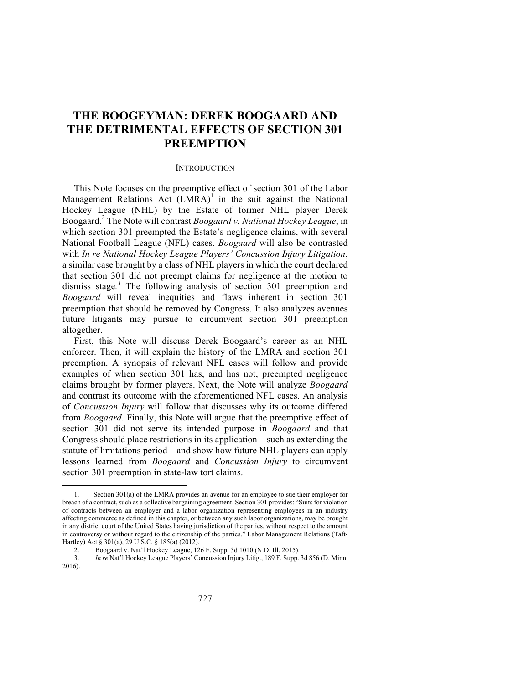# **THE BOOGEYMAN: DEREK BOOGAARD AND THE DETRIMENTAL EFFECTS OF SECTION 301 PREEMPTION**

#### **INTRODUCTION**

This Note focuses on the preemptive effect of section 301 of the Labor Management Relations Act  $(LMRA)^1$  in the suit against the National Hockey League (NHL) by the Estate of former NHL player Derek Boogaard. <sup>2</sup> The Note will contrast *Boogaard v. National Hockey League*, in which section 301 preempted the Estate's negligence claims, with several National Football League (NFL) cases. *Boogaard* will also be contrasted with *In re National Hockey League Players' Concussion Injury Litigation*, a similar case brought by a class of NHL players in which the court declared that section 301 did not preempt claims for negligence at the motion to dismiss stage*. <sup>3</sup>* The following analysis of section 301 preemption and *Boogaard* will reveal inequities and flaws inherent in section 301 preemption that should be removed by Congress. It also analyzes avenues future litigants may pursue to circumvent section 301 preemption altogether.

First, this Note will discuss Derek Boogaard's career as an NHL enforcer. Then, it will explain the history of the LMRA and section 301 preemption. A synopsis of relevant NFL cases will follow and provide examples of when section 301 has, and has not, preempted negligence claims brought by former players. Next, the Note will analyze *Boogaard* and contrast its outcome with the aforementioned NFL cases. An analysis of *Concussion Injury* will follow that discusses why its outcome differed from *Boogaard*. Finally, this Note will argue that the preemptive effect of section 301 did not serve its intended purpose in *Boogaard* and that Congress should place restrictions in its application—such as extending the statute of limitations period—and show how future NHL players can apply lessons learned from *Boogaard* and *Concussion Injury* to circumvent section 301 preemption in state-law tort claims.

<sup>1.</sup> Section 301(a) of the LMRA provides an avenue for an employee to sue their employer for breach of a contract, such as a collective bargaining agreement. Section 301 provides: "Suits for violation of contracts between an employer and a labor organization representing employees in an industry affecting commerce as defined in this chapter, or between any such labor organizations, may be brought in any district court of the United States having jurisdiction of the parties, without respect to the amount in controversy or without regard to the citizenship of the parties." Labor Management Relations (Taft-Hartley) Act § 301(a), 29 U.S.C. § 185(a) (2012).

<sup>2.</sup> Boogaard v. Nat'l Hockey League, 126 F. Supp. 3d 1010 (N.D. Ill. 2015).

<sup>3.</sup> *In re* Nat'l Hockey League Players' Concussion Injury Litig., 189 F. Supp. 3d 856 (D. Minn. 2016).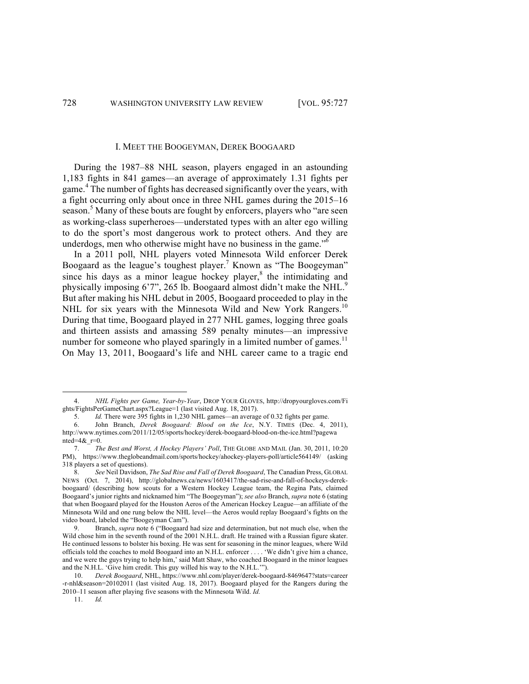### I. MEET THE BOOGEYMAN, DEREK BOOGAARD

During the 1987–88 NHL season, players engaged in an astounding 1,183 fights in 841 games—an average of approximately 1.31 fights per game. <sup>4</sup> The number of fights has decreased significantly over the years, with a fight occurring only about once in three NHL games during the 2015–16 season.<sup>5</sup> Many of these bouts are fought by enforcers, players who "are seen as working-class superheroes—understated types with an alter ego willing to do the sport's most dangerous work to protect others. And they are underdogs, men who otherwise might have no business in the game."<sup>6</sup>

In a 2011 poll, NHL players voted Minnesota Wild enforcer Derek Boogaard as the league's toughest player. <sup>7</sup> Known as "The Boogeyman" since his days as a minor league hockey player, $\delta$  the intimidating and physically imposing 6'7", 265 lb. Boogaard almost didn't make the NHL.<sup>9</sup> But after making his NHL debut in 2005, Boogaard proceeded to play in the NHL for six years with the Minnesota Wild and New York Rangers.<sup>10</sup> During that time, Boogaard played in 277 NHL games, logging three goals and thirteen assists and amassing 589 penalty minutes—an impressive number for someone who played sparingly in a limited number of games.<sup>11</sup> On May 13, 2011, Boogaard's life and NHL career came to a tragic end

<sup>4.</sup> *NHL Fights per Game, Year-by-Year*, DROP YOUR GLOVES, http://dropyourgloves.com/Fi ghts/FightsPerGameChart.aspx?League=1 (last visited Aug. 18, 2017).

<sup>5.</sup> *Id.* There were 395 fights in 1,230 NHL games—an average of 0.32 fights per game.

<sup>6.</sup> John Branch, *Derek Boogaard: Blood on the Ice*, N.Y. TIMES (Dec. 4, 2011), http://www.nytimes.com/2011/12/05/sports/hockey/derek-boogaard-blood-on-the-ice.html?pagewa  $nted=4&$ \_r=0.

<sup>7.</sup> *The Best and Worst, A Hockey Players' Poll*, THE GLOBE AND MAIL (Jan. 30, 2011, 10:20 PM), https://www.theglobeandmail.com/sports/hockey/ahockey-players-poll/article564149/ (asking 318 players a set of questions).

<sup>8.</sup> *See* Neil Davidson, *The Sad Rise and Fall of Derek Boogaard*, The Canadian Press, GLOBAL NEWS (Oct. 7, 2014), http://globalnews.ca/news/1603417/the-sad-rise-and-fall-of-hockeys-derekboogaard/ (describing how scouts for a Western Hockey League team, the Regina Pats, claimed Boogaard's junior rights and nicknamed him "The Boogeyman"); *see also* Branch, *supra* note 6 (stating that when Boogaard played for the Houston Aeros of the American Hockey League—an affiliate of the Minnesota Wild and one rung below the NHL level—the Aeros would replay Boogaard's fights on the video board, labeled the "Boogeyman Cam").

<sup>9.</sup> Branch, *supra* note 6 ("Boogaard had size and determination, but not much else, when the Wild chose him in the seventh round of the 2001 N.H.L. draft. He trained with a Russian figure skater. He continued lessons to bolster his boxing. He was sent for seasoning in the minor leagues, where Wild officials told the coaches to mold Boogaard into an N.H.L. enforcer . . . . 'We didn't give him a chance, and we were the guys trying to help him,' said Matt Shaw, who coached Boogaard in the minor leagues and the N.H.L. 'Give him credit. This guy willed his way to the N.H.L.'").

<sup>10.</sup> *Derek Boogaard*, NHL, https://www.nhl.com/player/derek-boogaard-8469647?stats=career -r-nhl&season=20102011 (last visited Aug. 18, 2017). Boogaard played for the Rangers during the 2010–11 season after playing five seasons with the Minnesota Wild. *Id.*

<sup>11.</sup> *Id.*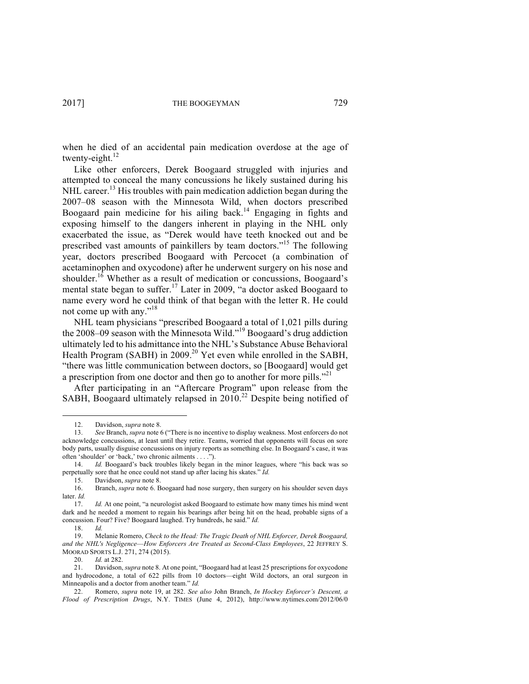when he died of an accidental pain medication overdose at the age of twenty-eight.<sup>12</sup>

Like other enforcers, Derek Boogaard struggled with injuries and attempted to conceal the many concussions he likely sustained during his NHL career.<sup>13</sup> His troubles with pain medication addiction began during the 2007–08 season with the Minnesota Wild, when doctors prescribed Boogaard pain medicine for his ailing back.<sup>14</sup> Engaging in fights and exposing himself to the dangers inherent in playing in the NHL only exacerbated the issue, as "Derek would have teeth knocked out and be prescribed vast amounts of painkillers by team doctors."<sup>15</sup> The following year, doctors prescribed Boogaard with Percocet (a combination of acetaminophen and oxycodone) after he underwent surgery on his nose and shoulder.<sup>16</sup> Whether as a result of medication or concussions, Boogaard's mental state began to suffer.<sup>17</sup> Later in 2009, "a doctor asked Boogaard to name every word he could think of that began with the letter R. He could not come up with any."<sup>18</sup>

NHL team physicians "prescribed Boogaard a total of 1,021 pills during the 2008–09 season with the Minnesota Wild." <sup>19</sup> Boogaard's drug addiction ultimately led to his admittance into the NHL's Substance Abuse Behavioral Health Program (SABH) in 2009.<sup>20</sup> Yet even while enrolled in the SABH, "there was little communication between doctors, so [Boogaard] would get a prescription from one doctor and then go to another for more pills."<sup>21</sup>

After participating in an "Aftercare Program" upon release from the SABH, Boogaard ultimately relapsed in 2010.<sup>22</sup> Despite being notified of

<u> Andrew Maria (1989)</u>

20. *Id.* at 282.

<sup>12.</sup> Davidson, *supra* note 8.

<sup>13.</sup> *See* Branch, *supra* note 6 ("There is no incentive to display weakness. Most enforcers do not acknowledge concussions, at least until they retire. Teams, worried that opponents will focus on sore body parts, usually disguise concussions on injury reports as something else. In Boogaard's case, it was often 'shoulder' or 'back,' two chronic ailments . . . .").

<sup>14.</sup> *Id.* Boogaard's back troubles likely began in the minor leagues, where "his back was so perpetually sore that he once could not stand up after lacing his skates." *Id.*

<sup>15.</sup> Davidson, *supra* note 8.

<sup>16.</sup> Branch, *supra* note 6. Boogaard had nose surgery, then surgery on his shoulder seven days later. *Id.* 

<sup>17.</sup> *Id.* At one point, "a neurologist asked Boogaard to estimate how many times his mind went dark and he needed a moment to regain his bearings after being hit on the head, probable signs of a concussion. Four? Five? Boogaard laughed. Try hundreds, he said." *Id.*

<sup>18.</sup> *Id.*

<sup>19.</sup> Melanie Romero, *Check to the Head: The Tragic Death of NHL Enforcer, Derek Boogaard, and the NHL's Negligence*—*How Enforcers Are Treated as Second-Class Employees*, 22 JEFFREY S. MOORAD SPORTS L.J. 271, 274 (2015).

<sup>21.</sup> Davidson, *supra* note 8. At one point, "Boogaard had at least 25 prescriptions for oxycodone and hydrocodone, a total of 622 pills from 10 doctors—eight Wild doctors, an oral surgeon in Minneapolis and a doctor from another team." *Id.*

<sup>22.</sup> Romero, *supra* note 19, at 282. *See also* John Branch, *In Hockey Enforcer's Descent, a Flood of Prescription Drugs*, N.Y. TIMES (June 4, 2012), http://www.nytimes.com/2012/06/0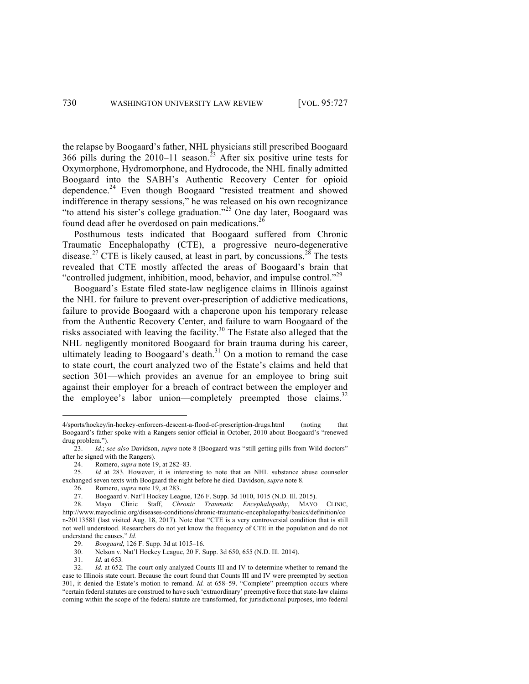the relapse by Boogaard's father, NHL physicians still prescribed Boogaard 366 pills during the 2010–11 season.<sup>23</sup> After six positive urine tests for Oxymorphone, Hydromorphone, and Hydrocode, the NHL finally admitted Boogaard into the SABH's Authentic Recovery Center for opioid dependence.<sup>24</sup> Even though Boogaard "resisted treatment and showed indifference in therapy sessions," he was released on his own recognizance "to attend his sister's college graduation."<sup>25</sup> One day later, Boogaard was found dead after he overdosed on pain medications.<sup>26</sup>

Posthumous tests indicated that Boogaard suffered from Chronic Traumatic Encephalopathy (CTE), a progressive neuro-degenerative disease.<sup>27</sup> CTE is likely caused, at least in part, by concussions.<sup>28</sup> The tests revealed that CTE mostly affected the areas of Boogaard's brain that "controlled judgment, inhibition, mood, behavior, and impulse control."<sup>29</sup>

Boogaard's Estate filed state-law negligence claims in Illinois against the NHL for failure to prevent over-prescription of addictive medications, failure to provide Boogaard with a chaperone upon his temporary release from the Authentic Recovery Center, and failure to warn Boogaard of the risks associated with leaving the facility.30 The Estate also alleged that the NHL negligently monitored Boogaard for brain trauma during his career, ultimately leading to Boogaard's death. $31$  On a motion to remand the case to state court, the court analyzed two of the Estate's claims and held that section 301—which provides an avenue for an employee to bring suit against their employer for a breach of contract between the employer and the employee's labor union—completely preempted those claims.<sup>32</sup>

<sup>4/</sup>sports/hockey/in-hockey-enforcers-descent-a-flood-of-prescription-drugs.html (noting that Boogaard's father spoke with a Rangers senior official in October, 2010 about Boogaard's "renewed drug problem.").

<sup>23.</sup> *Id.*; *see also* Davidson, *supra* note 8 (Boogaard was "still getting pills from Wild doctors" after he signed with the Rangers).

<sup>24.</sup> Romero, *supra* note 19, at 282–83.<br>25. *Id* at 283. However, it is interes 25. *Id* at 283*.* However, it is interesting to note that an NHL substance abuse counselor exchanged seven texts with Boogaard the night before he died. Davidson, *supra* note 8.

<sup>26.</sup> Romero, *supra* note 19, at 283.

<sup>27.</sup> Boogaard v. Nat'l Hockey League, 126 F. Supp. 3d 1010, 1015 (N.D. Ill. 2015).

<sup>28.</sup> Mayo Clinic Staff, *Chronic Traumatic Encephalopathy*, MAYO CLINIC, http://www.mayoclinic.org/diseases-conditions/chronic-traumatic-encephalopathy/basics/definition/co n-20113581 (last visited Aug. 18, 2017). Note that "CTE is a very controversial condition that is still not well understood. Researchers do not yet know the frequency of CTE in the population and do not understand the causes." *Id.*

<sup>29.</sup> *Boogaard*, 126 F. Supp. 3d at 1015–16.

<sup>30.</sup> Nelson v. Nat'l Hockey League, 20 F. Supp. 3d 650, 655 (N.D. Ill. 2014).

<sup>31.</sup> *Id.* at 653*.*

<sup>32.</sup> *Id.* at 652*.* The court only analyzed Counts III and IV to determine whether to remand the case to Illinois state court. Because the court found that Counts III and IV were preempted by section 301, it denied the Estate's motion to remand. *Id.* at 658–59. "Complete" preemption occurs where "certain federal statutes are construed to have such 'extraordinary' preemptive force that state-law claims coming within the scope of the federal statute are transformed, for jurisdictional purposes, into federal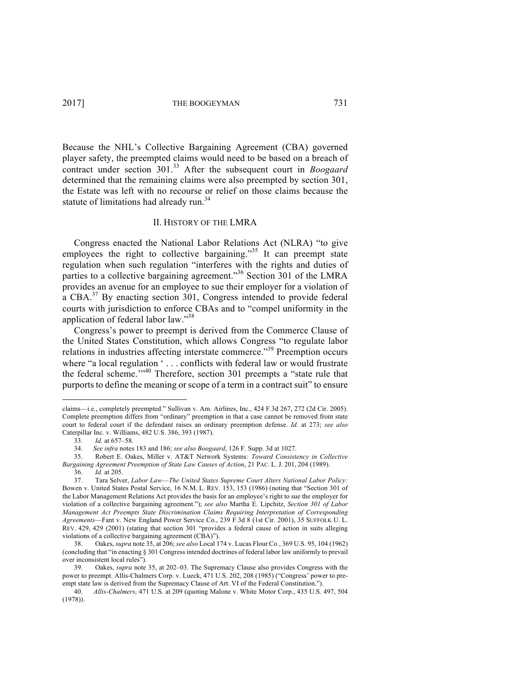Because the NHL's Collective Bargaining Agreement (CBA) governed player safety, the preempted claims would need to be based on a breach of contract under section 301. <sup>33</sup> After the subsequent court in *Boogaard* determined that the remaining claims were also preempted by section 301, the Estate was left with no recourse or relief on those claims because the statute of limitations had already run.<sup>34</sup>

### II. HISTORY OF THE LMRA

Congress enacted the National Labor Relations Act (NLRA) "to give employees the right to collective bargaining."<sup>35</sup> It can preempt state regulation when such regulation "interferes with the rights and duties of parties to a collective bargaining agreement."<sup>36</sup> Section 301 of the LMRA provides an avenue for an employee to sue their employer for a violation of  $a$  CBA.<sup>37</sup> By enacting section 301, Congress intended to provide federal courts with jurisdiction to enforce CBAs and to "compel uniformity in the application of federal labor law."<sup>38</sup>

Congress's power to preempt is derived from the Commerce Clause of the United States Constitution, which allows Congress "to regulate labor relations in industries affecting interstate commerce."39 Preemption occurs where "a local regulation ' . . . conflicts with federal law or would frustrate the federal scheme."<sup>40</sup> Therefore, section 301 preempts a "state rule that purports to define the meaning or scope of a term in a contract suit" to ensure

claims—i.e., completely preempted." Sullivan v. Am. Airlines, Inc., 424 F.3d 267, 272 (2d Cir. 2005). Complete preemption differs from "ordinary" preemption in that a case cannot be removed from state court to federal court if the defendant raises an ordinary preemption defense. *Id.* at 273; *see also*  Caterpillar Inc. v. Williams, 482 U.S. 386, 393 (1987).

<sup>33.</sup> *Id.* at 657–58*.*

<sup>34.</sup> *See infra* notes 183 and 186; *see also Boogaard*, 126 F. Supp. 3d at 1027.

<sup>35.</sup> Robert E. Oakes, Miller v. AT&T Network Systems*: Toward Consistency in Collective Bargaining Agreement Preemption of State Law Causes of Action*, 21 PAC. L. J. 201, 204 (1989).

<sup>36.</sup> *Id.* at 205.

<sup>37.</sup> Tara Selver, *Labor Law*—*The United States Supreme Court Alters National Labor Policy:*  Bowen v. United States Postal Service, 16 N.M. L. REV. 153, 153 (1986) (noting that "Section 301 of the Labor Management Relations Act provides the basis for an employee's right to sue the employer for violation of a collective bargaining agreement."); *see also* Martha E. Lipchitz, *Section 301 of Labor Management Act Preempts State Discrimination Claims Requiring Interpretation of Corresponding Agreements*—Fant v. New England Power Service Co., 239 F.3d 8 (1st Cir. 2001), 35 SUFFOLK U. L. REV. 429, 429 (2001) (stating that section 301 "provides a federal cause of action in suits alleging violations of a collective bargaining agreement (CBA)").

<sup>38.</sup> Oakes, *supra* note 35, at 206; *see also* Local 174 v. Lucas Flour Co*.*, 369 U.S. 95, 104 (1962) (concluding that "in enacting § 301 Congress intended doctrines of federal labor law uniformly to prevail over inconsistent local rules").

<sup>39.</sup> Oakes, *supra* note 35, at 202–03. The Supremacy Clause also provides Congress with the power to preempt. Allis-Chalmers Corp. v. Lueck, 471 U.S. 202, 208 (1985) ("Congress' power to preempt state law is derived from the Supremacy Clause of Art. VI of the Federal Constitution.").

<sup>40.</sup> *Allis-Chalmers,* 471 U.S. at 209 (quoting Malone v. White Motor Corp., 435 U.S. 497, 504 (1978)).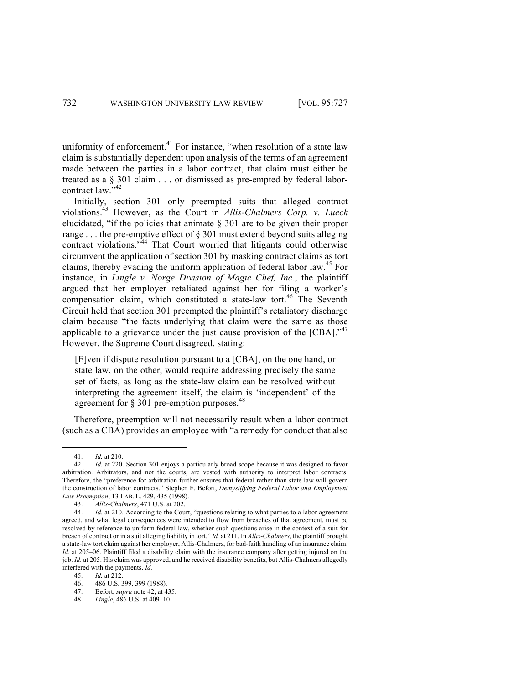uniformity of enforcement.<sup>41</sup> For instance, "when resolution of a state law claim is substantially dependent upon analysis of the terms of an agreement made between the parties in a labor contract, that claim must either be treated as a § 301 claim . . . or dismissed as pre-empted by federal laborcontract law."<sup>42</sup>

Initially, section 301 only preempted suits that alleged contract violations.43 However, as the Court in *Allis-Chalmers Corp. v. Lueck* elucidated, "if the policies that animate § 301 are to be given their proper range  $\ldots$  the pre-emptive effect of § 301 must extend beyond suits alleging contract violations."<sup>44</sup> That Court worried that litigants could otherwise circumvent the application of section 301 by masking contract claims as tort claims, thereby evading the uniform application of federal labor law.<sup>45</sup> For instance, in *Lingle v. Norge Division of Magic Chef, Inc.*, the plaintiff argued that her employer retaliated against her for filing a worker's compensation claim, which constituted a state-law tort.<sup>46</sup> The Seventh Circuit held that section 301 preempted the plaintiff's retaliatory discharge claim because "the facts underlying that claim were the same as those applicable to a grievance under the just cause provision of the  $[CBA]$ ."<sup>47</sup> However, the Supreme Court disagreed, stating:

[E]ven if dispute resolution pursuant to a [CBA], on the one hand, or state law, on the other, would require addressing precisely the same set of facts, as long as the state-law claim can be resolved without interpreting the agreement itself, the claim is 'independent' of the agreement for  $\S 301$  pre-emption purposes.<sup>48</sup>

Therefore, preemption will not necessarily result when a labor contract (such as a CBA) provides an employee with "a remedy for conduct that also

 

45. *Id.* at 212.

<sup>41.</sup> *Id.* at 210.

<sup>42.</sup> *Id.* at 220. Section 301 enjoys a particularly broad scope because it was designed to favor arbitration. Arbitrators, and not the courts, are vested with authority to interpret labor contracts. Therefore, the "preference for arbitration further ensures that federal rather than state law will govern the construction of labor contracts." Stephen F. Befort, *Demystifying Federal Labor and Employment Law Preemption*, 13 LAB. L. 429, 435 (1998).

<sup>43.</sup> *Allis-Chalmers*, 471 U.S. at 202.<br>44. *Id.* at 210. According to the Cou

Id. at 210. According to the Court, "questions relating to what parties to a labor agreement agreed, and what legal consequences were intended to flow from breaches of that agreement, must be resolved by reference to uniform federal law, whether such questions arise in the context of a suit for breach of contract or in a suit alleging liability in tort." *Id.* at 211. In *Allis-Chalmers*, the plaintiff brought a state-law tort claim against her employer, Allis-Chalmers, for bad-faith handling of an insurance claim. *Id.* at 205–06. Plaintiff filed a disability claim with the insurance company after getting injured on the job. *Id.* at 205. His claim was approved, and he received disability benefits, but Allis-Chalmers allegedly interfered with the payments. *Id.*

<sup>46.</sup> 486 U.S. 399, 399 (1988).

<sup>47.</sup> Befort, *supra* note 42, at 435.

<sup>48.</sup> *Lingle*, 486 U.S. at 409–10.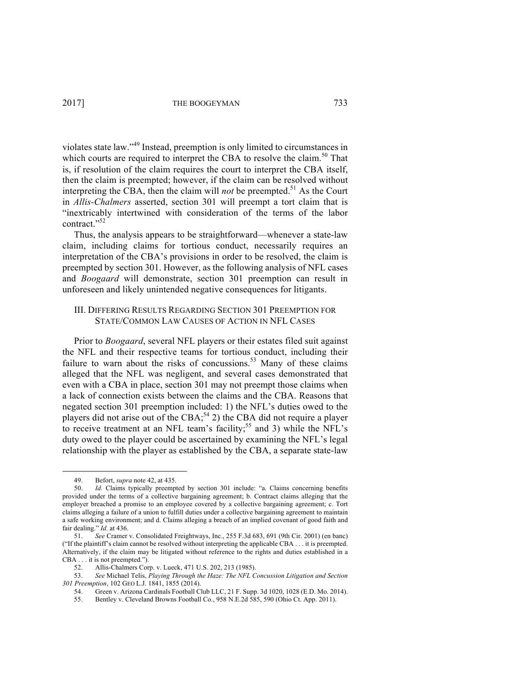violates state law." <sup>49</sup> Instead, preemption is only limited to circumstances in which courts are required to interpret the CBA to resolve the claim.<sup>50</sup> That is, if resolution of the claim requires the court to interpret the CBA itself, then the claim is preempted; however, if the claim can be resolved without interpreting the CBA, then the claim will *not* be preempted. <sup>51</sup> As the Court in *Allis-Chalmers* asserted, section 301 will preempt a tort claim that is "inextricably intertwined with consideration of the terms of the labor contract."<sup>52</sup>

Thus, the analysis appears to be straightforward—whenever a state-law claim, including claims for tortious conduct, necessarily requires an interpretation of the CBA's provisions in order to be resolved, the claim is preempted by section 301. However, as the following analysis of NFL cases and *Boogaard* will demonstrate, section 301 preemption can result in unforeseen and likely unintended negative consequences for litigants.

# III. DIFFERING RESULTS REGARDING SECTION 301 PREEMPTION FOR STATE/COMMON LAW CAUSES OF ACTION IN NFL CASES

Prior to *Boogaard*, several NFL players or their estates filed suit against the NFL and their respective teams for tortious conduct, including their failure to warn about the risks of concussions.<sup>53</sup> Many of these claims alleged that the NFL was negligent, and several cases demonstrated that even with a CBA in place, section 301 may not preempt those claims when a lack of connection exists between the claims and the CBA. Reasons that negated section 301 preemption included: 1) the NFL's duties owed to the players did not arise out of the CBA;<sup>54</sup> 2) the CBA did not require a player to receive treatment at an NFL team's facility;<sup>55</sup> and 3) while the NFL's duty owed to the player could be ascertained by examining the NFL's legal relationship with the player as established by the CBA, a separate state-law

<sup>&</sup>lt;u> Andrew Maria (1989)</u> 49. Befort, *supra* note 42, at 435.<br>50 *Id* Claims typically preemp

Id. Claims typically preempted by section 301 include: "a. Claims concerning benefits provided under the terms of a collective bargaining agreement; b. Contract claims alleging that the employer breached a promise to an employee covered by a collective bargaining agreement; c. Tort claims alleging a failure of a union to fulfill duties under a collective bargaining agreement to maintain a safe working environment; and d. Claims alleging a breach of an implied covenant of good faith and fair dealing." *Id.* at 436.

<sup>51.</sup> *See* Cramer v. Consolidated Freightways, Inc*.*, 255 F.3d 683, 691 (9th Cir. 2001) (en banc) ("If the plaintiff's claim cannot be resolved without interpreting the applicable CBA . . . it is preempted. Alternatively, if the claim may be litigated without reference to the rights and duties established in a CBA . . . it is not preempted.").

<sup>52.</sup> Allis-Chalmers Corp. v. Lueck, 471 U.S. 202, 213 (1985).

<sup>53.</sup> *See* Michael Telis, *Playing Through the Haze: The NFL Concussion Litigation and Section 301 Preemption*, 102 GEO L.J. 1841, 1855 (2014).

<sup>54.</sup> Green v. Arizona Cardinals Football Club LLC, 21 F. Supp. 3d 1020, 1028 (E.D. Mo. 2014).

<sup>55.</sup> Bentley v. Cleveland Browns Football Co., 958 N.E.2d 585, 590 (Ohio Ct. App. 2011).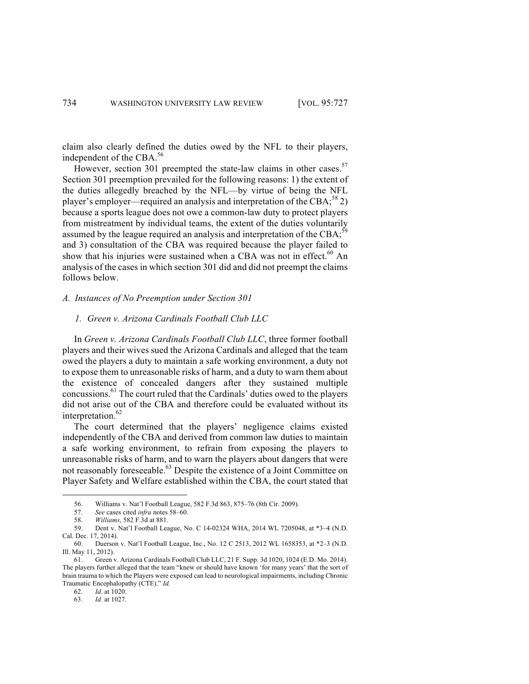claim also clearly defined the duties owed by the NFL to their players, independent of the CBA. 56

However, section 301 preempted the state-law claims in other cases.<sup>57</sup> Section 301 preemption prevailed for the following reasons: 1) the extent of the duties allegedly breached by the NFL—by virtue of being the NFL player's employer—required an analysis and interpretation of the CBA;<sup>58</sup> 2) because a sports league does not owe a common-law duty to protect players from mistreatment by individual teams, the extent of the duties voluntarily assumed by the league required an analysis and interpretation of the CBA;  $^{59}$ and 3) consultation of the CBA was required because the player failed to show that his injuries were sustained when a CBA was not in effect.<sup>60</sup> An analysis of the cases in which section 301 did and did not preempt the claims follows below.

# *A. Instances of No Preemption under Section 301*

# *1. Green v. Arizona Cardinals Football Club LLC*

In *Green v. Arizona Cardinals Football Club LLC*, three former football players and their wives sued the Arizona Cardinals and alleged that the team owed the players a duty to maintain a safe working environment, a duty not to expose them to unreasonable risks of harm, and a duty to warn them about the existence of concealed dangers after they sustained multiple concussions.<sup>61</sup> The court ruled that the Cardinals' duties owed to the players did not arise out of the CBA and therefore could be evaluated without its interpretation. 62

The court determined that the players' negligence claims existed independently of the CBA and derived from common law duties to maintain a safe working environment, to refrain from exposing the players to unreasonable risks of harm, and to warn the players about dangers that were not reasonably foreseeable.<sup>63</sup> Despite the existence of a Joint Committee on Player Safety and Welfare established within the CBA, the court stated that

<u> Andrew Maria (1989)</u>

62. *Id.* at 1020.

63. *Id.* at 1027.

<sup>56.</sup> Williams v. Nat'l Football League, 582 F.3d 863, 875–76 (8th Cir. 2009).

<sup>57.</sup> *See* cases cited *infra* notes 58–60.

<sup>58.</sup> *Williams*, 582 F.3d at 881.

<sup>59.</sup> Dent v. Nat'l Football League, No. C 14-02324 WHA, 2014 WL 7205048, at \*3–4 (N.D. Cal. Dec. 17, 2014).

<sup>60.</sup> Duerson v. Nat'l Football League, Inc., No. 12 C 2513, 2012 WL 1658353, at \*2–3 (N.D. Ill. May 11, 2012).

<sup>61.</sup> Green v. Arizona Cardinals Football Club LLC, 21 F. Supp. 3d 1020, 1024 (E.D. Mo. 2014). The players further alleged that the team "knew or should have known 'for many years' that the sort of brain trauma to which the Players were exposed can lead to neurological impairments, including Chronic Traumatic Encephalopathy (CTE)." *Id.*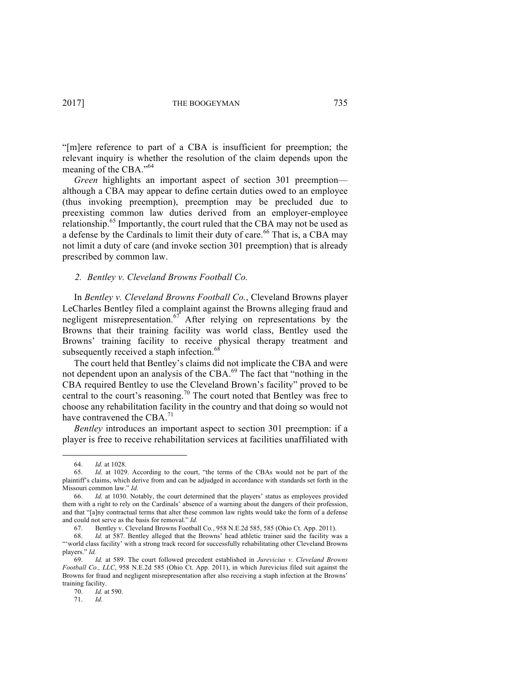"[m]ere reference to part of a CBA is insufficient for preemption; the relevant inquiry is whether the resolution of the claim depends upon the meaning of the CBA."<sup>64</sup>

*Green* highlights an important aspect of section 301 preemption although a CBA may appear to define certain duties owed to an employee (thus invoking preemption), preemption may be precluded due to preexisting common law duties derived from an employer-employee relationship.<sup>65</sup> Importantly, the court ruled that the CBA may not be used as a defense by the Cardinals to limit their duty of care.<sup>66</sup> That is, a CBA may not limit a duty of care (and invoke section 301 preemption) that is already prescribed by common law.

### *2. Bentley v. Cleveland Browns Football Co.*

In *Bentley v. Cleveland Browns Football Co.*, Cleveland Browns player LeCharles Bentley filed a complaint against the Browns alleging fraud and negligent misrepresentation.<sup>67</sup> After relying on representations by the Browns that their training facility was world class, Bentley used the Browns' training facility to receive physical therapy treatment and subsequently received a staph infection.<sup>68</sup>

The court held that Bentley's claims did not implicate the CBA and were not dependent upon an analysis of the CBA.<sup>69</sup> The fact that "nothing in the CBA required Bentley to use the Cleveland Brown's facility" proved to be central to the court's reasoning.<sup>70</sup> The court noted that Bentley was free to choose any rehabilitation facility in the country and that doing so would not have contravened the CBA.<sup>71</sup>

*Bentley* introduces an important aspect to section 301 preemption: if a player is free to receive rehabilitation services at facilities unaffiliated with

<sup>64.</sup> *Id.* at 1028.

<sup>65.</sup> *Id.* at 1029. According to the court, "the terms of the CBAs would not be part of the plaintiff's claims, which derive from and can be adjudged in accordance with standards set forth in the Missouri common law." *Id.*

<sup>66.</sup> *Id.* at 1030. Notably, the court determined that the players' status as employees provided them with a right to rely on the Cardinals' absence of a warning about the dangers of their profession, and that "[a]ny contractual terms that alter these common law rights would take the form of a defense and could not serve as the basis for removal." *Id.*

<sup>67.</sup> Bentley v. Cleveland Browns Football Co*.*, 958 N.E.2d 585, 585 (Ohio Ct. App. 2011).

<sup>68.</sup> *Id.* at 587. Bentley alleged that the Browns' head athletic trainer said the facility was a "'world class facility' with a strong track record for successfully rehabilitating other Cleveland Browns players." *Id.*

<sup>69.</sup> *Id.* at 589. The court followed precedent established in *Jurevicius v. Cleveland Browns Football Co., LLC*, 958 N.E.2d 585 (Ohio Ct. App. 2011), in which Jurevicius filed suit against the Browns for fraud and negligent misrepresentation after also receiving a staph infection at the Browns' training facility.

<sup>70.</sup> *Id.* at 590.

<sup>71.</sup> *Id.*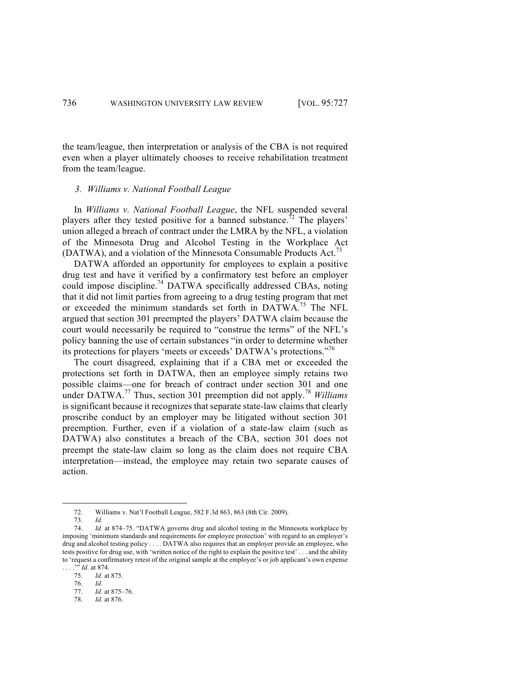the team/league, then interpretation or analysis of the CBA is not required even when a player ultimately chooses to receive rehabilitation treatment from the team/league.

# *3. Williams v. National Football League*

In *Williams v. National Football League*, the NFL suspended several players after they tested positive for a banned substance.<sup>72</sup> The players' union alleged a breach of contract under the LMRA by the NFL, a violation of the Minnesota Drug and Alcohol Testing in the Workplace Act (DATWA), and a violation of the Minnesota Consumable Products Act.<sup>73</sup>

DATWA afforded an opportunity for employees to explain a positive drug test and have it verified by a confirmatory test before an employer could impose discipline. <sup>74</sup> DATWA specifically addressed CBAs, noting that it did not limit parties from agreeing to a drug testing program that met or exceeded the minimum standards set forth in DATWA.75 The NFL argued that section 301 preempted the players' DATWA claim because the court would necessarily be required to "construe the terms" of the NFL's policy banning the use of certain substances "in order to determine whether its protections for players 'meets or exceeds' DATWA's protections."<sup>76</sup>

The court disagreed, explaining that if a CBA met or exceeded the protections set forth in DATWA, then an employee simply retains two possible claims—one for breach of contract under section 301 and one under DATWA.<sup>77</sup> Thus, section 301 preemption did not apply.<sup>78</sup> *Williams* is significant because it recognizes that separate state-law claims that clearly proscribe conduct by an employer may be litigated without section 301 preemption. Further, even if a violation of a state-law claim (such as DATWA) also constitutes a breach of the CBA, section 301 does not preempt the state-law claim so long as the claim does not require CBA interpretation—instead, the employee may retain two separate causes of action.

<sup>72.</sup> Williams v. Nat'l Football League, 582 F.3d 863, 863 (8th Cir. 2009).

<sup>73.</sup> *Id.*

<sup>74.</sup> *Id.* at 874–75. "DATWA governs drug and alcohol testing in the Minnesota workplace by imposing 'minimum standards and requirements for employee protection' with regard to an employer's drug and alcohol testing policy . . . . DATWA also requires that an employer provide an employee, who tests positive for drug use, with 'written notice of the right to explain the positive test' . . . and the ability to 'request a confirmatory retest of the original sample at the employee's or job applicant's own expense . . . . . *"' Id.* at 874.<br>75. *Id.* at

<sup>75.</sup> *Id.* at 875.

<sup>76.</sup> *Id.*

<sup>77.</sup> *Id.* at 875–76.

<sup>78.</sup> *Id.* at 876.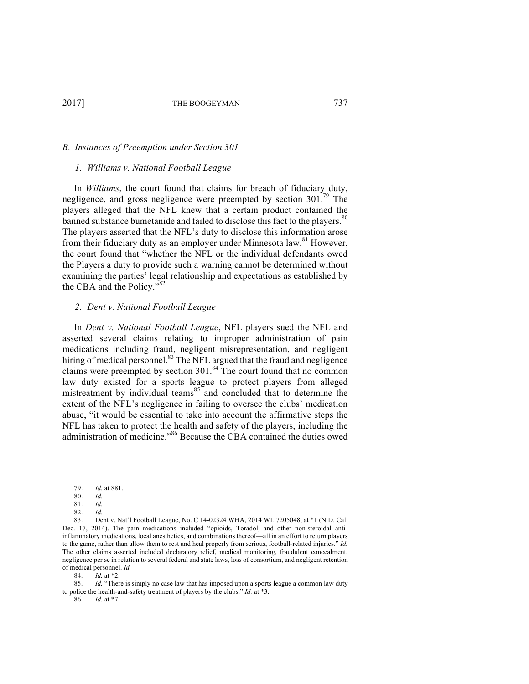# *B. Instances of Preemption under Section 301*

#### *1. Williams v. National Football League*

In *Williams*, the court found that claims for breach of fiduciary duty, negligence, and gross negligence were preempted by section 301.79 The players alleged that the NFL knew that a certain product contained the banned substance bumetanide and failed to disclose this fact to the players.<sup>80</sup> The players asserted that the NFL's duty to disclose this information arose from their fiduciary duty as an employer under Minnesota law.<sup>81</sup> However, the court found that "whether the NFL or the individual defendants owed the Players a duty to provide such a warning cannot be determined without examining the parties' legal relationship and expectations as established by the CBA and the Policy."<sup>82</sup>

### *2. Dent v. National Football League*

In *Dent v. National Football League*, NFL players sued the NFL and asserted several claims relating to improper administration of pain medications including fraud, negligent misrepresentation, and negligent hiring of medical personnel.<sup>83</sup> The NFL argued that the fraud and negligence claims were preempted by section  $301$ .<sup>84</sup> The court found that no common law duty existed for a sports league to protect players from alleged mistreatment by individual teams  $\frac{85}{3}$  and concluded that to determine the extent of the NFL's negligence in failing to oversee the clubs' medication abuse, "it would be essential to take into account the affirmative steps the NFL has taken to protect the health and safety of the players, including the administration of medicine."<sup>86</sup> Because the CBA contained the duties owed

 

84. *Id.* at \*2.

86. *Id.* at \*7.

<sup>79.</sup> *Id.* at 881.

<sup>80.</sup> *Id.*

<sup>81.</sup> *Id.*

<sup>82.</sup> *Id.*

<sup>83.</sup> Dent v. Nat'l Football League, No. C 14-02324 WHA, 2014 WL 7205048, at \*1 (N.D. Cal. Dec. 17, 2014). The pain medications included "opioids, Toradol, and other non-steroidal antiinflammatory medications, local anesthetics, and combinations thereof—all in an effort to return players to the game, rather than allow them to rest and heal properly from serious, football-related injuries." *Id.* The other claims asserted included declaratory relief, medical monitoring, fraudulent concealment, negligence per se in relation to several federal and state laws, loss of consortium, and negligent retention of medical personnel. *Id.* 

<sup>85.</sup> *Id.* "There is simply no case law that has imposed upon a sports league a common law duty to police the health-and-safety treatment of players by the clubs." *Id.* at \*3.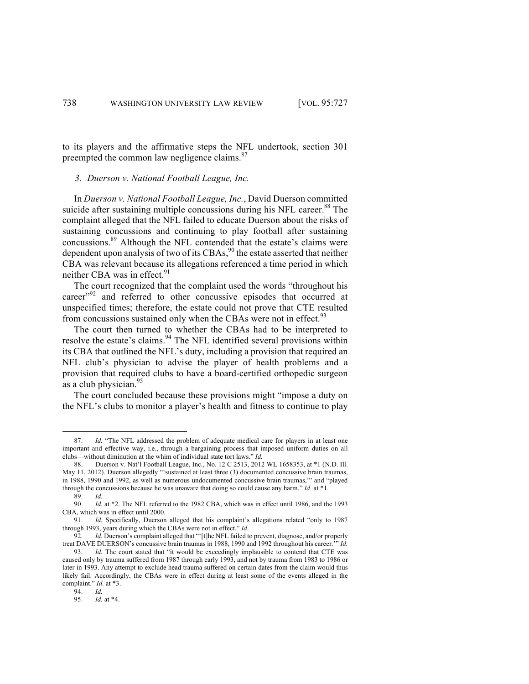to its players and the affirmative steps the NFL undertook, section 301 preempted the common law negligence claims.<sup>87</sup>

# *3. Duerson v. National Football League, Inc.*

In *Duerson v. National Football League, Inc.*, David Duerson committed suicide after sustaining multiple concussions during his NFL career.<sup>88</sup> The complaint alleged that the NFL failed to educate Duerson about the risks of sustaining concussions and continuing to play football after sustaining concussions.<sup>89</sup> Although the NFL contended that the estate's claims were dependent upon analysis of two of its CBAs,  $^{90}$  the estate asserted that neither CBA was relevant because its allegations referenced a time period in which neither CBA was in effect.<sup>91</sup>

The court recognized that the complaint used the words "throughout his career"<sup>92</sup> and referred to other concussive episodes that occurred at unspecified times; therefore, the estate could not prove that CTE resulted from concussions sustained only when the CBAs were not in effect.<sup>93</sup>

The court then turned to whether the CBAs had to be interpreted to resolve the estate's claims.<sup>94</sup> The NFL identified several provisions within its CBA that outlined the NFL's duty, including a provision that required an NFL club's physician to advise the player of health problems and a provision that required clubs to have a board-certified orthopedic surgeon as a club physician. $95$ 

The court concluded because these provisions might "impose a duty on the NFL's clubs to monitor a player's health and fitness to continue to play

<sup>87.</sup> *Id.* "The NFL addressed the problem of adequate medical care for players in at least one important and effective way, i.e., through a bargaining process that imposed uniform duties on all clubs—without diminution at the whim of individual state tort laws." *Id.*

<sup>88.</sup> Duerson v. Nat'l Football League, Inc., No. 12 C 2513, 2012 WL 1658353, at \*1 (N.D. Ill. May 11, 2012). Duerson allegedly "'sustained at least three (3) documented concussive brain traumas, in 1988, 1990 and 1992, as well as numerous undocumented concussive brain traumas,'" and "played through the concussions because he was unaware that doing so could cause any harm." *Id.* at \*1.

<sup>89.</sup> *Id.*

<sup>90.</sup> *Id.* at \*2. The NFL referred to the 1982 CBA, which was in effect until 1986, and the 1993 CBA, which was in effect until 2000.

<sup>91.</sup> *Id.* Specifically, Duerson alleged that his complaint's allegations related "only to 1987 through 1993, years during which the CBAs were not in effect." *Id.*

<sup>92.</sup> *Id.* Duerson's complaint alleged that "'[t]he NFL failed to prevent, diagnose, and/or properly treat DAVE DUERSON's concussive brain traumas in 1988, 1990 and 1992 throughout his career.'" *Id.*

<sup>93.</sup> *Id.* The court stated that "it would be exceedingly implausible to contend that CTE was caused only by trauma suffered from 1987 through early 1993, and not by trauma from 1983 to 1986 or later in 1993. Any attempt to exclude head trauma suffered on certain dates from the claim would thus likely fail. Accordingly, the CBAs were in effect during at least some of the events alleged in the complaint." *Id.* at \*3.

<sup>94.</sup> *Id.*

<sup>95.</sup> *Id.* at \*4.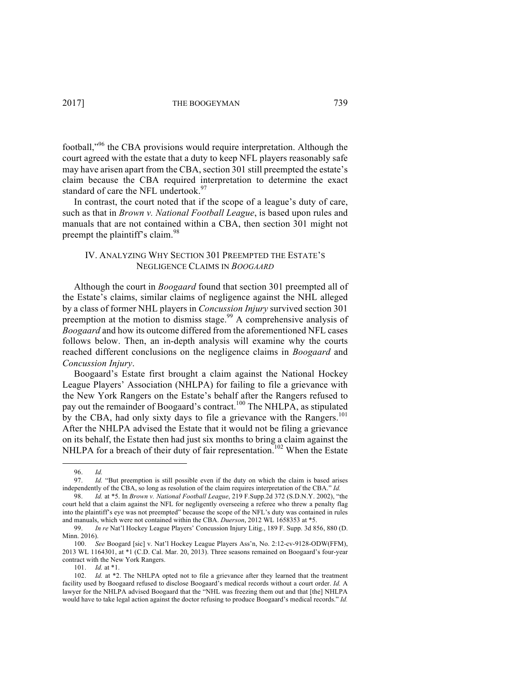football,<sup>"96</sup> the CBA provisions would require interpretation. Although the court agreed with the estate that a duty to keep NFL players reasonably safe may have arisen apart from the CBA, section 301 still preempted the estate's claim because the CBA required interpretation to determine the exact standard of care the NFL undertook.<sup>97</sup>

In contrast, the court noted that if the scope of a league's duty of care, such as that in *Brown v. National Football League*, is based upon rules and manuals that are not contained within a CBA, then section 301 might not preempt the plaintiff's claim.<sup>98</sup>

# IV. ANALYZING WHY SECTION 301 PREEMPTED THE ESTATE'S NEGLIGENCE CLAIMS IN *BOOGAARD*

Although the court in *Boogaard* found that section 301 preempted all of the Estate's claims, similar claims of negligence against the NHL alleged by a class of former NHL players in *Concussion Injury* survived section 301 preemption at the motion to dismiss stage.<sup>99</sup> A comprehensive analysis of *Boogaard* and how its outcome differed from the aforementioned NFL cases follows below. Then, an in-depth analysis will examine why the courts reached different conclusions on the negligence claims in *Boogaard* and *Concussion Injury*.

Boogaard's Estate first brought a claim against the National Hockey League Players' Association (NHLPA) for failing to file a grievance with the New York Rangers on the Estate's behalf after the Rangers refused to pay out the remainder of Boogaard's contract.<sup>100</sup> The NHLPA, as stipulated by the CBA, had only sixty days to file a grievance with the Rangers.<sup>101</sup> After the NHLPA advised the Estate that it would not be filing a grievance on its behalf, the Estate then had just six months to bring a claim against the NHLPA for a breach of their duty of fair representation.<sup>102</sup> When the Estate

<sup>96.</sup> *Id.*

<sup>97.</sup> *Id.* "But preemption is still possible even if the duty on which the claim is based arises independently of the CBA, so long as resolution of the claim requires interpretation of the CBA." *Id.*

<sup>98.</sup> *Id.* at \*5. In *Brown v. National Football League*, 219 F.Supp.2d 372 (S.D.N.Y. 2002), "the court held that a claim against the NFL for negligently overseeing a referee who threw a penalty flag into the plaintiff's eye was not preempted" because the scope of the NFL's duty was contained in rules and manuals, which were not contained within the CBA. *Duerson*, 2012 WL 1658353 at \*5.

<sup>99.</sup> *In re* Nat'l Hockey League Players' Concussion Injury Litig., 189 F. Supp. 3d 856, 880 (D. Minn. 2016).

<sup>100.</sup> *See* Boogard [sic] v. Nat'l Hockey League Players Ass'n, No. 2:12-cv-9128-ODW(FFM), 2013 WL 1164301, at \*1 (C.D. Cal. Mar. 20, 2013). Three seasons remained on Boogaard's four-year contract with the New York Rangers.

<sup>101.</sup> *Id.* at \*1.

<sup>102.</sup> *Id.* at \*2. The NHLPA opted not to file a grievance after they learned that the treatment facility used by Boogaard refused to disclose Boogaard's medical records without a court order. *Id.* A lawyer for the NHLPA advised Boogaard that the "NHL was freezing them out and that [the] NHLPA would have to take legal action against the doctor refusing to produce Boogaard's medical records." *Id.*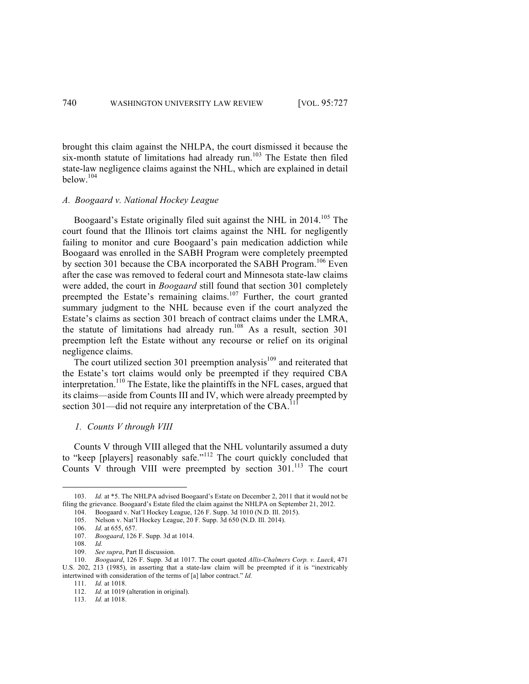brought this claim against the NHLPA, the court dismissed it because the six-month statute of limitations had already run. $103$  The Estate then filed state-law negligence claims against the NHL, which are explained in detail below. 104

# *A. Boogaard v. National Hockey League*

Boogaard's Estate originally filed suit against the NHL in  $2014$ <sup> $105$ </sup> The court found that the Illinois tort claims against the NHL for negligently failing to monitor and cure Boogaard's pain medication addiction while Boogaard was enrolled in the SABH Program were completely preempted by section 301 because the CBA incorporated the SABH Program.<sup>106</sup> Even after the case was removed to federal court and Minnesota state-law claims were added, the court in *Boogaard* still found that section 301 completely preempted the Estate's remaining claims.<sup>107</sup> Further, the court granted summary judgment to the NHL because even if the court analyzed the Estate's claims as section 301 breach of contract claims under the LMRA, the statute of limitations had already run.<sup>108</sup> As a result, section  $301$ preemption left the Estate without any recourse or relief on its original negligence claims.

The court utilized section 301 preemption analysis<sup>109</sup> and reiterated that the Estate's tort claims would only be preempted if they required CBA interpretation. <sup>110</sup> The Estate, like the plaintiffs in the NFL cases, argued that its claims—aside from Counts III and IV, which were already preempted by section 301—did not require any interpretation of the  $CBA$ <sup>1</sup>

### *1. Counts V through VIII*

<u> Andrew Maria (1989)</u>

Counts V through VIII alleged that the NHL voluntarily assumed a duty to "keep [players] reasonably safe."<sup>112</sup> The court quickly concluded that Counts V through VIII were preempted by section  $301$ <sup>113</sup>. The court

<sup>103.</sup> *Id.* at \*5. The NHLPA advised Boogaard's Estate on December 2, 2011 that it would not be filing the grievance. Boogaard's Estate filed the claim against the NHLPA on September 21, 2012.

<sup>104.</sup> Boogaard v. Nat'l Hockey League, 126 F. Supp. 3d 1010 (N.D. Ill. 2015).

<sup>105.</sup> Nelson v. Nat'l Hockey League, 20 F. Supp. 3d 650 (N.D. Ill. 2014).

<sup>106.</sup> *Id.* at 655, 657.

<sup>107.</sup> *Boogaard*, 126 F. Supp. 3d at 1014.

<sup>108.</sup> *Id.*

<sup>109.</sup> *See supra*, Part II discussion.

<sup>110.</sup> *Boogaard*, 126 F. Supp. 3d at 1017. The court quoted *Allis-Chalmers Corp. v. Lueck*, 471 U.S. 202, 213 (1985), in asserting that a state-law claim will be preempted if it is "inextricably intertwined with consideration of the terms of [a] labor contract." *Id.*

<sup>111.</sup> *Id.* at 1018.

<sup>112.</sup> *Id.* at 1019 (alteration in original).

<sup>113.</sup> *Id.* at 1018.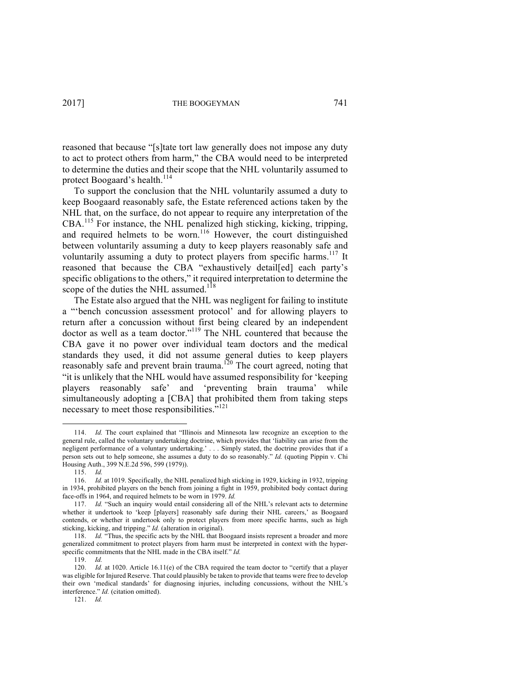reasoned that because "[s]tate tort law generally does not impose any duty to act to protect others from harm," the CBA would need to be interpreted to determine the duties and their scope that the NHL voluntarily assumed to protect Boogaard's health.<sup>114</sup>

To support the conclusion that the NHL voluntarily assumed a duty to keep Boogaard reasonably safe, the Estate referenced actions taken by the NHL that, on the surface, do not appear to require any interpretation of the CBA.<sup>115</sup> For instance, the NHL penalized high sticking, kicking, tripping, and required helmets to be worn.<sup>116</sup> However, the court distinguished between voluntarily assuming a duty to keep players reasonably safe and voluntarily assuming a duty to protect players from specific harms.<sup>117</sup> It reasoned that because the CBA "exhaustively detail[ed] each party's specific obligations to the others," it required interpretation to determine the scope of the duties the NHL assumed.<sup>118</sup>

The Estate also argued that the NHL was negligent for failing to institute a "'bench concussion assessment protocol' and for allowing players to return after a concussion without first being cleared by an independent doctor as well as a team doctor."<sup>119</sup> The NHL countered that because the CBA gave it no power over individual team doctors and the medical standards they used, it did not assume general duties to keep players reasonably safe and prevent brain trauma.<sup>120</sup> The court agreed, noting that "it is unlikely that the NHL would have assumed responsibility for 'keeping players reasonably safe' and 'preventing brain trauma' while simultaneously adopting a [CBA] that prohibited them from taking steps necessary to meet those responsibilities."<sup>121</sup>

<u> Andrew Maria (1989)</u>

119. *Id.* 

<sup>114.</sup> *Id.* The court explained that "Illinois and Minnesota law recognize an exception to the general rule, called the voluntary undertaking doctrine, which provides that 'liability can arise from the negligent performance of a voluntary undertaking.' . . . Simply stated, the doctrine provides that if a person sets out to help someone, she assumes a duty to do so reasonably." *Id.* (quoting Pippin v. Chi Housing Auth., 399 N.E.2d 596, 599 (1979)).

<sup>115.</sup> *Id.*

<sup>116.</sup> *Id.* at 1019. Specifically, the NHL penalized high sticking in 1929, kicking in 1932, tripping in 1934, prohibited players on the bench from joining a fight in 1959, prohibited body contact during face-offs in 1964, and required helmets to be worn in 1979. *Id.*

<sup>117.</sup> *Id.* "Such an inquiry would entail considering all of the NHL's relevant acts to determine whether it undertook to 'keep [players] reasonably safe during their NHL careers,' as Boogaard contends, or whether it undertook only to protect players from more specific harms, such as high sticking, kicking, and tripping." *Id.* (alteration in original).

<sup>118.</sup> *Id.* "Thus, the specific acts by the NHL that Boogaard insists represent a broader and more generalized commitment to protect players from harm must be interpreted in context with the hyperspecific commitments that the NHL made in the CBA itself." *Id.*

<sup>120.</sup> *Id.* at 1020. Article 16.11(e) of the CBA required the team doctor to "certify that a player was eligible for Injured Reserve. That could plausibly be taken to provide that teams were free to develop their own 'medical standards' for diagnosing injuries, including concussions, without the NHL's interference." *Id.* (citation omitted).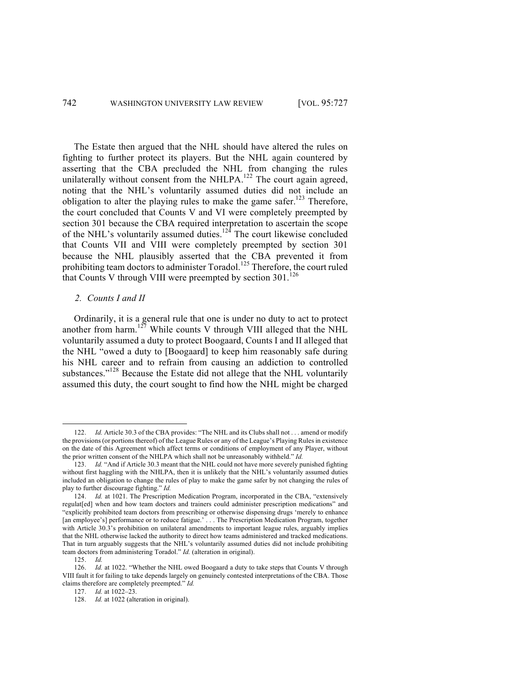The Estate then argued that the NHL should have altered the rules on fighting to further protect its players. But the NHL again countered by asserting that the CBA precluded the NHL from changing the rules unilaterally without consent from the NHLPA.<sup>122</sup> The court again agreed, noting that the NHL's voluntarily assumed duties did not include an obligation to alter the playing rules to make the game safer.<sup>123</sup> Therefore, the court concluded that Counts V and VI were completely preempted by section 301 because the CBA required interpretation to ascertain the scope of the NHL's voluntarily assumed duties.<sup>124</sup> The court likewise concluded that Counts VII and VIII were completely preempted by section 301 because the NHL plausibly asserted that the CBA prevented it from prohibiting team doctors to administer Toradol.<sup>125</sup> Therefore, the court ruled that Counts V through VIII were preempted by section  $301$ <sup>126</sup>

# *2. Counts I and II*

<u> Andrew Maria (1989)</u>

Ordinarily, it is a general rule that one is under no duty to act to protect another from harm.<sup>127</sup> While counts V through VIII alleged that the NHL voluntarily assumed a duty to protect Boogaard, Counts I and II alleged that the NHL "owed a duty to [Boogaard] to keep him reasonably safe during his NHL career and to refrain from causing an addiction to controlled substances."<sup>128</sup> Because the Estate did not allege that the NHL voluntarily assumed this duty, the court sought to find how the NHL might be charged

*Id.* Article 30.3 of the CBA provides: "The NHL and its Clubs shall not . . . amend or modify the provisions (or portions thereof) of the League Rules or any of the League's Playing Rules in existence on the date of this Agreement which affect terms or conditions of employment of any Player, without the prior written consent of the NHLPA which shall not be unreasonably withheld." *Id.*

<sup>123.</sup> *Id.* "And if Article 30.3 meant that the NHL could not have more severely punished fighting without first haggling with the NHLPA, then it is unlikely that the NHL's voluntarily assumed duties included an obligation to change the rules of play to make the game safer by not changing the rules of play to further discourage fighting." *Id.*

<sup>124.</sup> *Id.* at 1021. The Prescription Medication Program, incorporated in the CBA, "extensively regulat[ed] when and how team doctors and trainers could administer prescription medications" and "explicitly prohibited team doctors from prescribing or otherwise dispensing drugs 'merely to enhance [an employee's] performance or to reduce fatigue.' . . . The Prescription Medication Program, together with Article 30.3's prohibition on unilateral amendments to important league rules, arguably implies that the NHL otherwise lacked the authority to direct how teams administered and tracked medications. That in turn arguably suggests that the NHL's voluntarily assumed duties did not include prohibiting team doctors from administering Toradol." *Id.* (alteration in original).

<sup>125.</sup> *Id.*

<sup>126.</sup> *Id.* at 1022. "Whether the NHL owed Boogaard a duty to take steps that Counts V through VIII fault it for failing to take depends largely on genuinely contested interpretations of the CBA. Those claims therefore are completely preempted." *Id.*

<sup>127.</sup> *Id.* at 1022–23.

<sup>128.</sup> *Id.* at 1022 (alteration in original).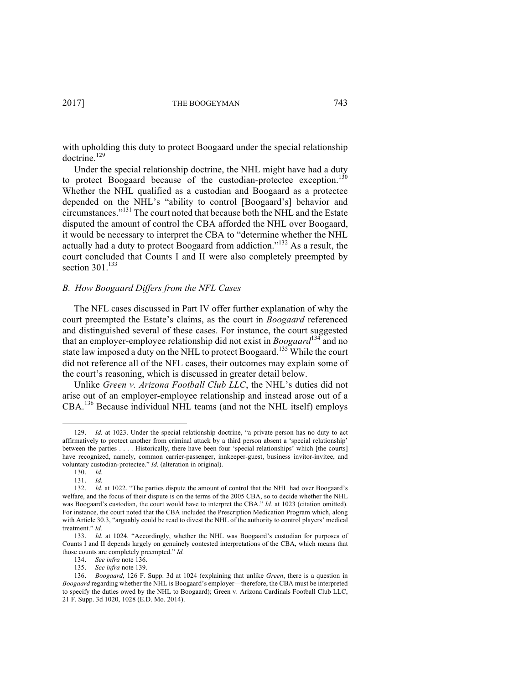with upholding this duty to protect Boogaard under the special relationship doctrine.<sup>129</sup>

Under the special relationship doctrine, the NHL might have had a duty to protect Boogaard because of the custodian-protectee exception.<sup>130</sup> Whether the NHL qualified as a custodian and Boogaard as a protectee depended on the NHL's "ability to control [Boogaard's] behavior and circumstances."<sup>131</sup> The court noted that because both the NHL and the Estate disputed the amount of control the CBA afforded the NHL over Boogaard, it would be necessary to interpret the CBA to "determine whether the NHL actually had a duty to protect Boogaard from addiction."<sup>132</sup> As a result, the court concluded that Counts I and II were also completely preempted by section  $301$ <sup>133</sup>

# *B. How Boogaard Differs from the NFL Cases*

The NFL cases discussed in Part IV offer further explanation of why the court preempted the Estate's claims, as the court in *Boogaard* referenced and distinguished several of these cases. For instance, the court suggested that an employer-employee relationship did not exist in *Boogaard*<sup>134</sup> and no state law imposed a duty on the NHL to protect Boogaard.<sup>135</sup> While the court did not reference all of the NFL cases, their outcomes may explain some of the court's reasoning, which is discussed in greater detail below.

Unlike *Green v. Arizona Football Club LLC*, the NHL's duties did not arise out of an employer-employee relationship and instead arose out of a CBA.<sup>136</sup> Because individual NHL teams (and not the NHL itself) employs

<sup>129.</sup> *Id.* at 1023. Under the special relationship doctrine, "a private person has no duty to act affirmatively to protect another from criminal attack by a third person absent a 'special relationship' between the parties . . . . Historically, there have been four 'special relationships' which [the courts] have recognized, namely, common carrier-passenger, innkeeper-guest, business invitor-invitee, and voluntary custodian-protectee." *Id.* (alteration in original).

<sup>130.</sup> *Id.* 131. *Id.*

<sup>132.</sup> *Id.* at 1022. "The parties dispute the amount of control that the NHL had over Boogaard's welfare, and the focus of their dispute is on the terms of the 2005 CBA, so to decide whether the NHL was Boogaard's custodian, the court would have to interpret the CBA." *Id.* at 1023 (citation omitted). For instance, the court noted that the CBA included the Prescription Medication Program which, along with Article 30.3, "arguably could be read to divest the NHL of the authority to control players' medical treatment." *Id.*

<sup>133.</sup> *Id.* at 1024. "Accordingly, whether the NHL was Boogaard's custodian for purposes of Counts I and II depends largely on genuinely contested interpretations of the CBA, which means that those counts are completely preempted." *Id.*

<sup>134.</sup> *See infra* note 136.

<sup>135.</sup> *See infra* note 139.

<sup>136.</sup> *Boogaard*, 126 F. Supp. 3d at 1024 (explaining that unlike *Green*, there is a question in *Boogaard* regarding whether the NHL is Boogaard's employer—therefore, the CBA must be interpreted to specify the duties owed by the NHL to Boogaard); Green v. Arizona Cardinals Football Club LLC, 21 F. Supp. 3d 1020, 1028 (E.D. Mo. 2014).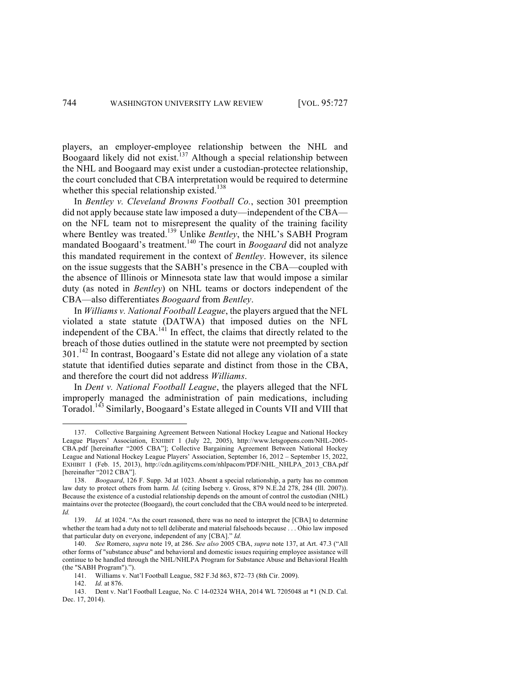players, an employer-employee relationship between the NHL and Boogaard likely did not exist.<sup>137</sup> Although a special relationship between the NHL and Boogaard may exist under a custodian-protectee relationship, the court concluded that CBA interpretation would be required to determine whether this special relationship existed.<sup>138</sup>

In *Bentley v. Cleveland Browns Football Co.*, section 301 preemption did not apply because state law imposed a duty—independent of the CBA on the NFL team not to misrepresent the quality of the training facility where Bentley was treated.<sup>139</sup> Unlike *Bentley*, the NHL's SABH Program mandated Boogaard's treatment.<sup>140</sup> The court in *Boogaard* did not analyze this mandated requirement in the context of *Bentley*. However, its silence on the issue suggests that the SABH's presence in the CBA—coupled with the absence of Illinois or Minnesota state law that would impose a similar duty (as noted in *Bentley*) on NHL teams or doctors independent of the CBA—also differentiates *Boogaard* from *Bentley*.

In *Williams v. National Football League*, the players argued that the NFL violated a state statute (DATWA) that imposed duties on the NFL independent of the CBA.<sup>141</sup> In effect, the claims that directly related to the breach of those duties outlined in the statute were not preempted by section 301.142 In contrast, Boogaard's Estate did not allege any violation of a state statute that identified duties separate and distinct from those in the CBA, and therefore the court did not address *Williams*.

In *Dent v. National Football League*, the players alleged that the NFL improperly managed the administration of pain medications, including Toradol.<sup>143</sup> Similarly, Boogaard's Estate alleged in Counts VII and VIII that

<sup>137.</sup> Collective Bargaining Agreement Between National Hockey League and National Hockey League Players' Association, EXHIBIT 1 (July 22, 2005), http://www.letsgopens.com/NHL-2005- CBA.pdf [hereinafter "2005 CBA"]; Collective Bargaining Agreement Between National Hockey League and National Hockey League Players' Association, September 16, 2012 – September 15, 2022, EXHIBIT 1 (Feb. 15, 2013), http://cdn.agilitycms.com/nhlpacom/PDF/NHL\_NHLPA\_2013\_CBA.pdf [hereinafter "2012 CBA"].

<sup>138.</sup> *Boogaard*, 126 F. Supp. 3d at 1023. Absent a special relationship, a party has no common law duty to protect others from harm. *Id.* (citing Iseberg v. Gross, 879 N.E.2d 278, 284 (Ill. 2007)). Because the existence of a custodial relationship depends on the amount of control the custodian (NHL) maintains over the protectee (Boogaard), the court concluded that the CBA would need to be interpreted. *Id.*

<sup>139.</sup> *Id.* at 1024. "As the court reasoned, there was no need to interpret the [CBA] to determine whether the team had a duty not to tell deliberate and material falsehoods because . . . Ohio law imposed that particular duty on everyone, independent of any [CBA]." *Id.*

<sup>140.</sup> *See* Romero, *supra* note 19, at 286. *See also* 2005 CBA, *supra* note 137, at Art. 47.3 ("All other forms of "substance abuse" and behavioral and domestic issues requiring employee assistance will continue to be handled through the NHL/NHLPA Program for Substance Abuse and Behavioral Health (the "SABH Program").").

<sup>141.</sup> Williams v. Nat'l Football League, 582 F.3d 863, 872–73 (8th Cir. 2009).

<sup>142.</sup> *Id.* at 876.

<sup>143.</sup> Dent v. Nat'l Football League, No. C 14-02324 WHA, 2014 WL 7205048 at \*1 (N.D. Cal. Dec. 17, 2014).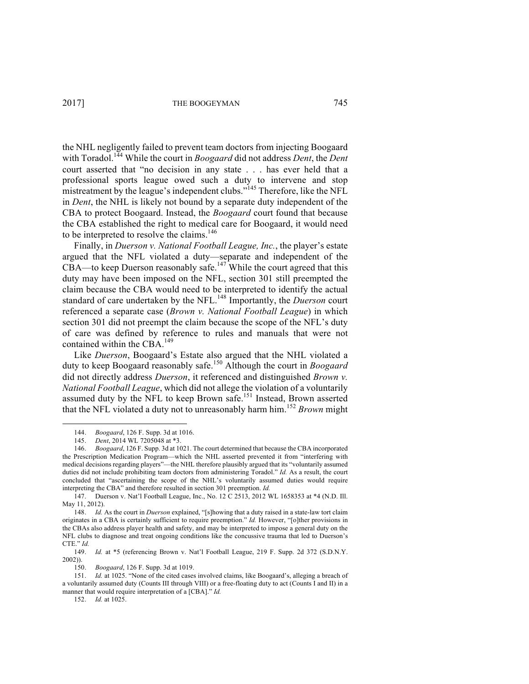2017] THE BOOGEYMAN 745

the NHL negligently failed to prevent team doctors from injecting Boogaard with Toradol.144 While the court in *Boogaard* did not address *Dent*, the *Dent* court asserted that "no decision in any state . . . has ever held that a professional sports league owed such a duty to intervene and stop mistreatment by the league's independent clubs."<sup>145</sup> Therefore, like the NFL in *Dent*, the NHL is likely not bound by a separate duty independent of the CBA to protect Boogaard. Instead, the *Boogaard* court found that because the CBA established the right to medical care for Boogaard, it would need to be interpreted to resolve the claims. 146

Finally, in *Duerson v. National Football League, Inc.*, the player's estate argued that the NFL violated a duty—separate and independent of the  $CBA$ —to keep Duerson reasonably safe.<sup>147</sup> While the court agreed that this duty may have been imposed on the NFL, section 301 still preempted the claim because the CBA would need to be interpreted to identify the actual standard of care undertaken by the NFL. <sup>148</sup> Importantly, the *Duerson* court referenced a separate case (*Brown v. National Football League*) in which section 301 did not preempt the claim because the scope of the NFL's duty of care was defined by reference to rules and manuals that were not contained within the CBA.<sup>149</sup>

Like *Duerson*, Boogaard's Estate also argued that the NHL violated a duty to keep Boogaard reasonably safe. <sup>150</sup> Although the court in *Boogaard* did not directly address *Duerson*, it referenced and distinguished *Brown v. National Football League*, which did not allege the violation of a voluntarily assumed duty by the NFL to keep Brown safe.<sup>151</sup> Instead, Brown asserted that the NFL violated a duty not to unreasonably harm him.<sup>152</sup> *Brown* might

<u> Andrew Maria (1989)</u>

152. *Id.* at 1025.

<sup>144.</sup> *Boogaard*, 126 F. Supp. 3d at 1016.

<sup>145.</sup> *Dent*, 2014 WL 7205048 at \*3.

<sup>146.</sup> *Boogaard*, 126 F. Supp. 3d at 1021. The court determined that because the CBA incorporated the Prescription Medication Program—which the NHL asserted prevented it from "interfering with medical decisions regarding players"—the NHL therefore plausibly argued that its "voluntarily assumed duties did not include prohibiting team doctors from administering Toradol." *Id.* As a result, the court concluded that "ascertaining the scope of the NHL's voluntarily assumed duties would require interpreting the CBA" and therefore resulted in section 301 preemption. *Id.*

<sup>147.</sup> Duerson v. Nat'l Football League, Inc., No. 12 C 2513, 2012 WL 1658353 at \*4 (N.D. Ill. May 11, 2012).

<sup>148.</sup> *Id.* As the court in *Duerson* explained, "[s]howing that a duty raised in a state-law tort claim originates in a CBA is certainly sufficient to require preemption." *Id.* However, "[o]ther provisions in the CBAs also address player health and safety, and may be interpreted to impose a general duty on the NFL clubs to diagnose and treat ongoing conditions like the concussive trauma that led to Duerson's CTE." *Id.*

<sup>149.</sup> *Id.* at \*5 (referencing Brown v. Nat'l Football League, 219 F. Supp. 2d 372 (S.D.N.Y. 2002)).

<sup>150.</sup> *Boogaard*, 126 F. Supp. 3d at 1019.

<sup>151.</sup> *Id.* at 1025. "None of the cited cases involved claims, like Boogaard's, alleging a breach of a voluntarily assumed duty (Counts III through VIII) or a free-floating duty to act (Counts I and II) in a manner that would require interpretation of a [CBA]." *Id.*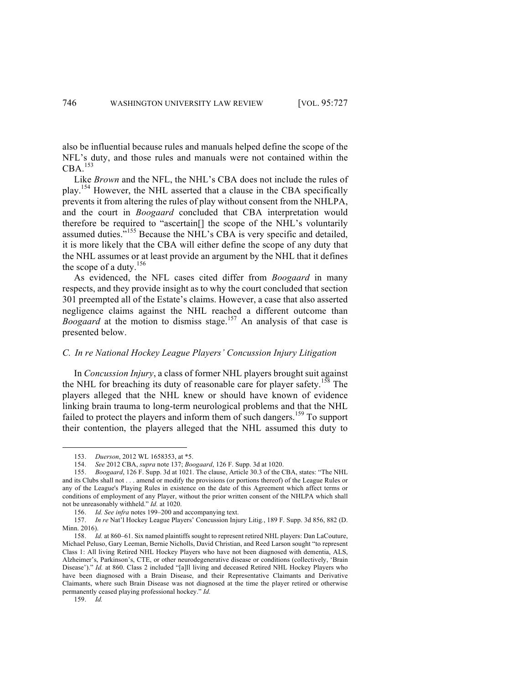also be influential because rules and manuals helped define the scope of the NFL's duty, and those rules and manuals were not contained within the  $CBA.<sup>153</sup>$ 

Like *Brown* and the NFL, the NHL's CBA does not include the rules of play.<sup>154</sup> However, the NHL asserted that a clause in the CBA specifically prevents it from altering the rules of play without consent from the NHLPA, and the court in *Boogaard* concluded that CBA interpretation would therefore be required to "ascertain[] the scope of the NHL's voluntarily assumed duties.<sup>5,155</sup> Because the NHL's CBA is very specific and detailed, it is more likely that the CBA will either define the scope of any duty that the NHL assumes or at least provide an argument by the NHL that it defines the scope of a duty.<sup>156</sup>

As evidenced, the NFL cases cited differ from *Boogaard* in many respects, and they provide insight as to why the court concluded that section 301 preempted all of the Estate's claims. However, a case that also asserted negligence claims against the NHL reached a different outcome than *Boogaard* at the motion to dismiss stage.<sup>157</sup> An analysis of that case is presented below.

### *C. In re National Hockey League Players' Concussion Injury Litigation*

In *Concussion Injury*, a class of former NHL players brought suit against the NHL for breaching its duty of reasonable care for player safety.<sup>158</sup> The players alleged that the NHL knew or should have known of evidence linking brain trauma to long-term neurological problems and that the NHL failed to protect the players and inform them of such dangers.<sup>159</sup> To support their contention, the players alleged that the NHL assumed this duty to

 

<sup>153.</sup> *Duerson*, 2012 WL 1658353, at \*5.

<sup>154.</sup> *See* 2012 CBA, *supra* note 137; *Boogaard*, 126 F. Supp. 3d at 1020.

<sup>155.</sup> *Boogaard*, 126 F. Supp. 3d at 1021. The clause, Article 30.3 of the CBA, states: "The NHL and its Clubs shall not . . . amend or modify the provisions (or portions thereof) of the League Rules or any of the League's Playing Rules in existence on the date of this Agreement which affect terms or conditions of employment of any Player, without the prior written consent of the NHLPA which shall not be unreasonably withheld." *Id.* at 1020.

<sup>156.</sup> *Id. See infra* notes 199–200 and accompanying text.

<sup>157.</sup> *In re* Nat'l Hockey League Players' Concussion Injury Litig*.*, 189 F. Supp. 3d 856, 882 (D. Minn. 2016).

<sup>158.</sup> *Id.* at 860–61. Six named plaintiffs sought to represent retired NHL players: Dan LaCouture, Michael Peluso, Gary Leeman, Bernie Nicholls, David Christian, and Reed Larson sought "to represent Class 1: All living Retired NHL Hockey Players who have not been diagnosed with dementia, ALS, Alzheimer's, Parkinson's, CTE, or other neurodegenerative disease or conditions (collectively, 'Brain Disease')." *Id.* at 860. Class 2 included "[a]ll living and deceased Retired NHL Hockey Players who have been diagnosed with a Brain Disease, and their Representative Claimants and Derivative Claimants, where such Brain Disease was not diagnosed at the time the player retired or otherwise permanently ceased playing professional hockey." *Id.* 

<sup>159.</sup> *Id.*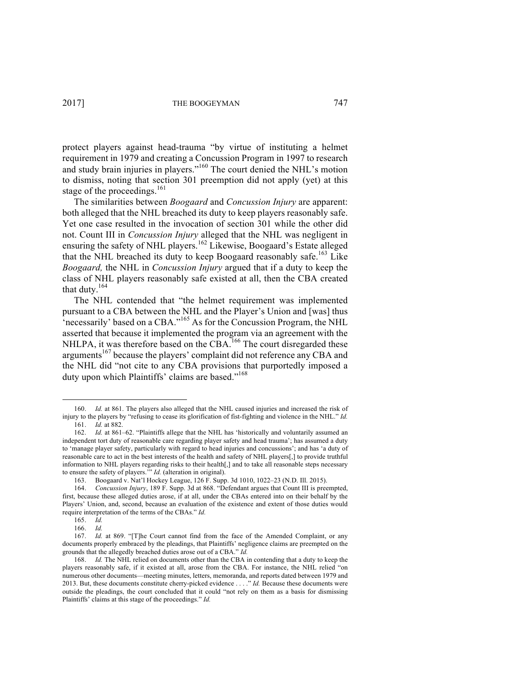protect players against head-trauma "by virtue of instituting a helmet requirement in 1979 and creating a Concussion Program in 1997 to research and study brain injuries in players."<sup>160</sup> The court denied the NHL's motion to dismiss, noting that section 301 preemption did not apply (yet) at this stage of the proceedings.<sup>161</sup>

The similarities between *Boogaard* and *Concussion Injury* are apparent: both alleged that the NHL breached its duty to keep players reasonably safe. Yet one case resulted in the invocation of section 301 while the other did not. Count III in *Concussion Injury* alleged that the NHL was negligent in ensuring the safety of NHL players.<sup>162</sup> Likewise, Boogaard's Estate alleged that the NHL breached its duty to keep Boogaard reasonably safe.<sup>163</sup> Like *Boogaard,* the NHL in *Concussion Injury* argued that if a duty to keep the class of NHL players reasonably safe existed at all, then the CBA created that duty.<sup>164</sup>

The NHL contended that "the helmet requirement was implemented pursuant to a CBA between the NHL and the Player's Union and [was] thus  $\epsilon$  necessarily' based on a CBA."<sup>165</sup> As for the Concussion Program, the NHL asserted that because it implemented the program via an agreement with the NHLPA, it was therefore based on the CBA.<sup>166</sup> The court disregarded these arguments<sup>167</sup> because the players' complaint did not reference any CBA and the NHL did "not cite to any CBA provisions that purportedly imposed a duty upon which Plaintiffs' claims are based."<sup>168</sup>

<sup>160.</sup> *Id.* at 861. The players also alleged that the NHL caused injuries and increased the risk of injury to the players by "refusing to cease its glorification of fist-fighting and violence in the NHL." *Id.* 161. *Id.* at 882.

<sup>162.</sup> *Id.* at 861–62. "Plaintiffs allege that the NHL has 'historically and voluntarily assumed an independent tort duty of reasonable care regarding player safety and head trauma'; has assumed a duty to 'manage player safety, particularly with regard to head injuries and concussions'; and has 'a duty of reasonable care to act in the best interests of the health and safety of NHL players[,] to provide truthful information to NHL players regarding risks to their health[,] and to take all reasonable steps necessary to ensure the safety of players.'" *Id.* (alteration in original).

<sup>163.</sup> Boogaard v. Nat'l Hockey League, 126 F. Supp. 3d 1010, 1022–23 (N.D. III. 2015).<br>164. Concussion Injury 189 F. Supp. 3d at 868. "Defendant aroues that Count III is pre-

<sup>164.</sup> *Concussion Injury*, 189 F. Supp. 3d at 868. "Defendant argues that Count III is preempted, first, because these alleged duties arose, if at all, under the CBAs entered into on their behalf by the Players' Union, and, second, because an evaluation of the existence and extent of those duties would require interpretation of the terms of the CBAs." *Id.*

<sup>165.</sup> *Id.*

<sup>166.</sup> *Id.*

<sup>167.</sup> *Id.* at 869. "[T]he Court cannot find from the face of the Amended Complaint, or any documents properly embraced by the pleadings, that Plaintiffs' negligence claims are preempted on the grounds that the allegedly breached duties arose out of a CBA." *Id.*

<sup>168.</sup> *Id.* The NHL relied on documents other than the CBA in contending that a duty to keep the players reasonably safe, if it existed at all, arose from the CBA. For instance, the NHL relied "on numerous other documents—meeting minutes, letters, memoranda, and reports dated between 1979 and 2013. But, these documents constitute cherry-picked evidence . . . ." *Id.* Because these documents were outside the pleadings, the court concluded that it could "not rely on them as a basis for dismissing Plaintiffs' claims at this stage of the proceedings." *Id.*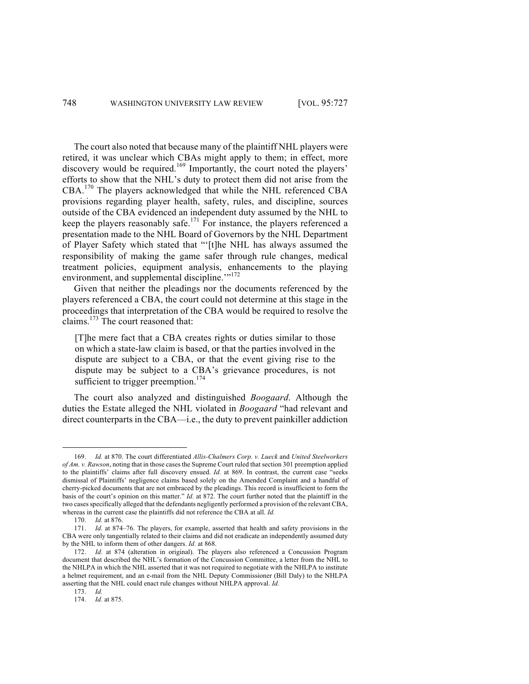The court also noted that because many of the plaintiff NHL players were retired, it was unclear which CBAs might apply to them; in effect, more discovery would be required.<sup>169</sup> Importantly, the court noted the players' efforts to show that the NHL's duty to protect them did not arise from the CBA.<sup>170</sup> The players acknowledged that while the NHL referenced CBA provisions regarding player health, safety, rules, and discipline, sources outside of the CBA evidenced an independent duty assumed by the NHL to keep the players reasonably safe.<sup>171</sup> For instance, the players referenced a presentation made to the NHL Board of Governors by the NHL Department of Player Safety which stated that "'[t]he NHL has always assumed the responsibility of making the game safer through rule changes, medical treatment policies, equipment analysis, enhancements to the playing environment, and supplemental discipline.<sup>"172</sup>

Given that neither the pleadings nor the documents referenced by the players referenced a CBA, the court could not determine at this stage in the proceedings that interpretation of the CBA would be required to resolve the claims.<sup>173</sup> The court reasoned that:

[T]he mere fact that a CBA creates rights or duties similar to those on which a state-law claim is based, or that the parties involved in the dispute are subject to a CBA, or that the event giving rise to the dispute may be subject to a CBA's grievance procedures, is not sufficient to trigger preemption.<sup>174</sup>

The court also analyzed and distinguished *Boogaard*. Although the duties the Estate alleged the NHL violated in *Boogaard* "had relevant and direct counterparts in the CBA—i.e., the duty to prevent painkiller addiction

 

<sup>169.</sup> *Id.* at 870. The court differentiated *Allis-Chalmers Corp. v. Lueck* and *United Steelworkers of Am. v. Rawson*, noting that in those cases the Supreme Court ruled that section 301 preemption applied to the plaintiffs' claims after full discovery ensued. *Id.* at 869. In contrast, the current case "seeks dismissal of Plaintiffs' negligence claims based solely on the Amended Complaint and a handful of cherry-picked documents that are not embraced by the pleadings. This record is insufficient to form the basis of the court's opinion on this matter." *Id.* at 872. The court further noted that the plaintiff in the two cases specifically alleged that the defendants negligently performed a provision of the relevant CBA, whereas in the current case the plaintiffs did not reference the CBA at all. *Id.* 

<sup>170.</sup> *Id.* at 876.

<sup>171.</sup> *Id.* at 874–76. The players, for example, asserted that health and safety provisions in the CBA were only tangentially related to their claims and did not eradicate an independently assumed duty by the NHL to inform them of other dangers. *Id.* at 868.

<sup>172.</sup> *Id.* at 874 (alteration in original). The players also referenced a Concussion Program document that described the NHL's formation of the Concussion Committee, a letter from the NHL to the NHLPA in which the NHL asserted that it was not required to negotiate with the NHLPA to institute a helmet requirement, and an e-mail from the NHL Deputy Commissioner (Bill Daly) to the NHLPA asserting that the NHL could enact rule changes without NHLPA approval. *Id.*

<sup>173.</sup> *Id.*

<sup>174.</sup> *Id.* at 875.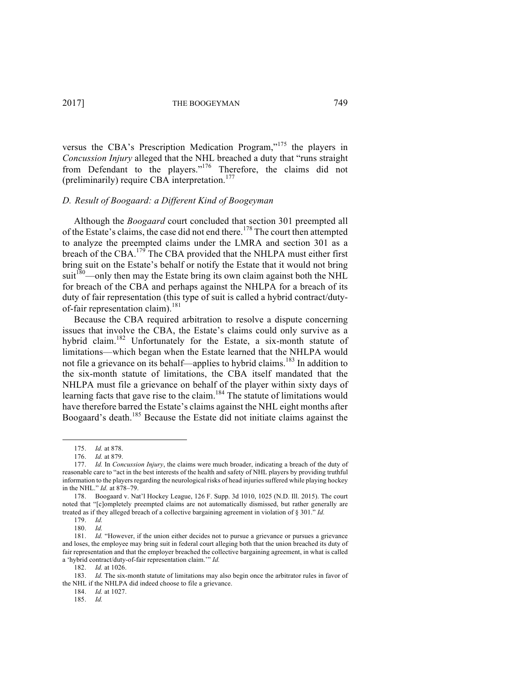versus the CBA's Prescription Medication Program,"<sup>175</sup> the players in *Concussion Injury* alleged that the NHL breached a duty that "runs straight from Defendant to the players."<sup>176</sup> Therefore, the claims did not (preliminarily) require CBA interpretation. 177

# *D. Result of Boogaard: a Different Kind of Boogeyman*

Although the *Boogaard* court concluded that section 301 preempted all of the Estate's claims, the case did not end there.<sup>178</sup> The court then attempted to analyze the preempted claims under the LMRA and section 301 as a breach of the CBA.<sup>179</sup> The CBA provided that the NHLPA must either first bring suit on the Estate's behalf or notify the Estate that it would not bring  $suit<sup>180</sup>$ —only then may the Estate bring its own claim against both the NHL for breach of the CBA and perhaps against the NHLPA for a breach of its duty of fair representation (this type of suit is called a hybrid contract/dutyof-fair representation claim).<sup>181</sup>

Because the CBA required arbitration to resolve a dispute concerning issues that involve the CBA, the Estate's claims could only survive as a hybrid claim.<sup>182</sup> Unfortunately for the Estate, a six-month statute of limitations—which began when the Estate learned that the NHLPA would not file a grievance on its behalf—applies to hybrid claims.<sup>183</sup> In addition to the six-month statute of limitations, the CBA itself mandated that the NHLPA must file a grievance on behalf of the player within sixty days of learning facts that gave rise to the claim.<sup>184</sup> The statute of limitations would have therefore barred the Estate's claims against the NHL eight months after Boogaard's death.<sup>185</sup> Because the Estate did not initiate claims against the

<sup>175.</sup> *Id.* at 878.

<sup>176.</sup> *Id.* at 879.

<sup>177.</sup> *Id.* In *Concussion Injury*, the claims were much broader, indicating a breach of the duty of reasonable care to "act in the best interests of the health and safety of NHL players by providing truthful information to the players regarding the neurological risks of head injuries suffered while playing hockey in the NHL." *Id.* at 878–79.

<sup>178.</sup> Boogaard v. Nat'l Hockey League, 126 F. Supp. 3d 1010, 1025 (N.D. Ill. 2015). The court noted that "[c]ompletely preempted claims are not automatically dismissed, but rather generally are treated as if they alleged breach of a collective bargaining agreement in violation of § 301." *Id.*

<sup>179.</sup> *Id.*

<sup>180.</sup> *Id.*

<sup>181.</sup> *Id.* "However, if the union either decides not to pursue a grievance or pursues a grievance and loses, the employee may bring suit in federal court alleging both that the union breached its duty of fair representation and that the employer breached the collective bargaining agreement, in what is called a 'hybrid contract/duty-of-fair representation claim.'" *Id.* 

<sup>182.</sup> *Id.* at 1026.

<sup>183.</sup> *Id.* The six-month statute of limitations may also begin once the arbitrator rules in favor of the NHL if the NHLPA did indeed choose to file a grievance.

<sup>184.</sup> *Id.* at 1027.

<sup>185.</sup> *Id.*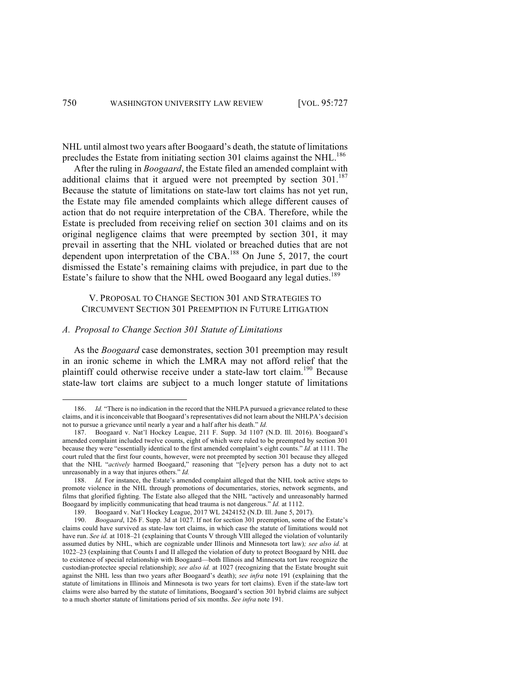NHL until almost two years after Boogaard's death, the statute of limitations precludes the Estate from initiating section 301 claims against the NHL.<sup>186</sup>

After the ruling in *Boogaard*, the Estate filed an amended complaint with additional claims that it argued were not preempted by section  $301$ .<sup>187</sup> Because the statute of limitations on state-law tort claims has not yet run, the Estate may file amended complaints which allege different causes of action that do not require interpretation of the CBA. Therefore, while the Estate is precluded from receiving relief on section 301 claims and on its original negligence claims that were preempted by section 301, it may prevail in asserting that the NHL violated or breached duties that are not dependent upon interpretation of the CBA.<sup>188</sup> On June 5, 2017, the court dismissed the Estate's remaining claims with prejudice, in part due to the Estate's failure to show that the NHL owed Boogaard any legal duties.<sup>189</sup>

# V. PROPOSAL TO CHANGE SECTION 301 AND STRATEGIES TO CIRCUMVENT SECTION 301 PREEMPTION IN FUTURE LITIGATION

### *A. Proposal to Change Section 301 Statute of Limitations*

<u> Andrew Maria (1989)</u>

As the *Boogaard* case demonstrates, section 301 preemption may result in an ironic scheme in which the LMRA may not afford relief that the plaintiff could otherwise receive under a state-law tort claim.<sup>190</sup> Because state-law tort claims are subject to a much longer statute of limitations

<sup>186.</sup> *Id.* "There is no indication in the record that the NHLPA pursued a grievance related to these claims, and it is inconceivable that Boogaard's representatives did not learn about the NHLPA's decision not to pursue a grievance until nearly a year and a half after his death." *Id.*

<sup>187.</sup> Boogaard v. Nat'l Hockey League, 211 F. Supp. 3d 1107 (N.D. Ill. 2016). Boogaard's amended complaint included twelve counts, eight of which were ruled to be preempted by section 301 because they were "essentially identical to the first amended complaint's eight counts." *Id.* at 1111. The court ruled that the first four counts, however, were not preempted by section 301 because they alleged that the NHL "*actively* harmed Boogaard," reasoning that "[e]very person has a duty not to act unreasonably in a way that injures others." *Id.*

<sup>188.</sup> *Id.* For instance, the Estate's amended complaint alleged that the NHL took active steps to promote violence in the NHL through promotions of documentaries, stories, network segments, and films that glorified fighting. The Estate also alleged that the NHL "actively and unreasonably harmed Boogaard by implicitly communicating that head trauma is not dangerous." *Id.* at 1112.

<sup>189.</sup> Boogaard v. Nat'l Hockey League, 2017 WL 2424152 (N.D. Ill. June 5, 2017).

<sup>190.</sup> *Boogaard*, 126 F. Supp. 3d at 1027. If not for section 301 preemption, some of the Estate's claims could have survived as state-law tort claims, in which case the statute of limitations would not have run. *See id.* at 1018–21 (explaining that Counts V through VIII alleged the violation of voluntarily assumed duties by NHL, which are cognizable under Illinois and Minnesota tort law)*; see also id.* at 1022–23 (explaining that Counts I and II alleged the violation of duty to protect Boogaard by NHL due to existence of special relationship with Boogaard—both Illinois and Minnesota tort law recognize the custodian-protectee special relationship); *see also id.* at 1027 (recognizing that the Estate brought suit against the NHL less than two years after Boogaard's death); *see infra* note 191 (explaining that the statute of limitations in Illinois and Minnesota is two years for tort claims). Even if the state-law tort claims were also barred by the statute of limitations, Boogaard's section 301 hybrid claims are subject to a much shorter statute of limitations period of six months. *See infra* note 191.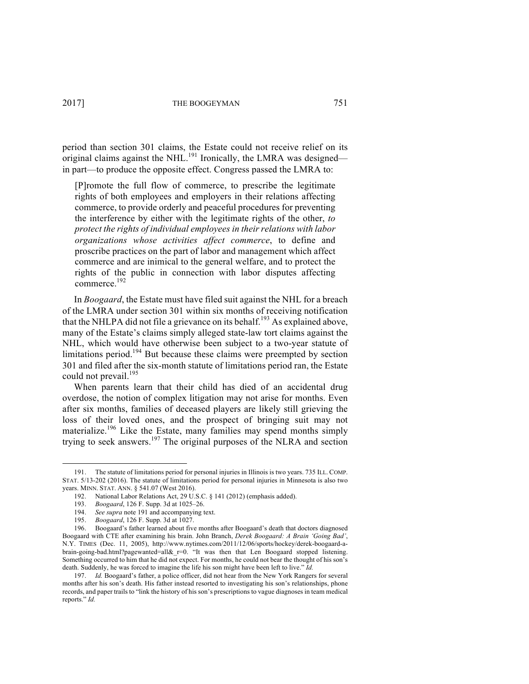period than section 301 claims, the Estate could not receive relief on its original claims against the NHL.<sup>191</sup> Ironically, the LMRA was designed in part—to produce the opposite effect. Congress passed the LMRA to:

[P]romote the full flow of commerce, to prescribe the legitimate rights of both employees and employers in their relations affecting commerce, to provide orderly and peaceful procedures for preventing the interference by either with the legitimate rights of the other, *to protect the rights of individual employees in their relations with labor organizations whose activities affect commerce*, to define and proscribe practices on the part of labor and management which affect commerce and are inimical to the general welfare, and to protect the rights of the public in connection with labor disputes affecting commerce.192

In *Boogaard*, the Estate must have filed suit against the NHL for a breach of the LMRA under section 301 within six months of receiving notification that the NHLPA did not file a grievance on its behalf.<sup>193</sup> As explained above, many of the Estate's claims simply alleged state-law tort claims against the NHL, which would have otherwise been subject to a two-year statute of limitations period.<sup>194</sup> But because these claims were preempted by section 301 and filed after the six-month statute of limitations period ran, the Estate could not prevail.<sup>195</sup>

When parents learn that their child has died of an accidental drug overdose, the notion of complex litigation may not arise for months. Even after six months, families of deceased players are likely still grieving the loss of their loved ones, and the prospect of bringing suit may not materialize. <sup>196</sup> Like the Estate, many families may spend months simply trying to seek answers.<sup>197</sup> The original purposes of the NLRA and section

<sup>191.</sup> The statute of limitations period for personal injuries in Illinois is two years. 735 ILL. COMP. STAT. 5/13-202 (2016). The statute of limitations period for personal injuries in Minnesota is also two years. MINN. STAT. ANN. § 541.07 (West 2016).

<sup>192.</sup> National Labor Relations Act, 29 U.S.C. § 141 (2012) (emphasis added).

<sup>193.</sup> *Boogaard*, 126 F. Supp. 3d at 1025–26.

See *supra* note 191 and accompanying text.

<sup>195.</sup> *Boogaard*, 126 F. Supp. 3d at 1027.

<sup>196.</sup> Boogaard's father learned about five months after Boogaard's death that doctors diagnosed Boogaard with CTE after examining his brain. John Branch, *Derek Boogaard: A Brain 'Going Bad'*, N.Y. TIMES (Dec. 11, 2005), http://www.nytimes.com/2011/12/06/sports/hockey/derek-boogaard-abrain-going-bad.html?pagewanted=all& r=0. "It was then that Len Boogaard stopped listening. Something occurred to him that he did not expect. For months, he could not bear the thought of his son's death. Suddenly, he was forced to imagine the life his son might have been left to live." *Id.*

<sup>197.</sup> *Id.* Boogaard's father, a police officer, did not hear from the New York Rangers for several months after his son's death. His father instead resorted to investigating his son's relationships, phone records, and paper trails to "link the history of his son's prescriptions to vague diagnoses in team medical reports." *Id.*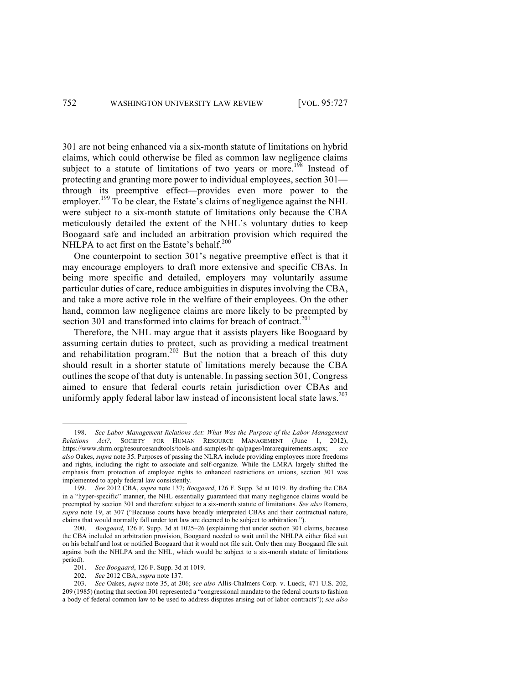301 are not being enhanced via a six-month statute of limitations on hybrid claims, which could otherwise be filed as common law negligence claims subject to a statute of limitations of two years or more.<sup>198</sup> Instead of protecting and granting more power to individual employees, section 301 through its preemptive effect—provides even more power to the employer.<sup>199</sup> To be clear, the Estate's claims of negligence against the NHL were subject to a six-month statute of limitations only because the CBA meticulously detailed the extent of the NHL's voluntary duties to keep Boogaard safe and included an arbitration provision which required the NHLPA to act first on the Estate's behalf. $200$ 

One counterpoint to section 301's negative preemptive effect is that it may encourage employers to draft more extensive and specific CBAs. In being more specific and detailed, employers may voluntarily assume particular duties of care, reduce ambiguities in disputes involving the CBA, and take a more active role in the welfare of their employees. On the other hand, common law negligence claims are more likely to be preempted by section 301 and transformed into claims for breach of contract.<sup>201</sup>

Therefore, the NHL may argue that it assists players like Boogaard by assuming certain duties to protect, such as providing a medical treatment and rehabilitation program.<sup>202</sup> But the notion that a breach of this duty should result in a shorter statute of limitations merely because the CBA outlines the scope of that duty is untenable. In passing section 301, Congress aimed to ensure that federal courts retain jurisdiction over CBAs and uniformly apply federal labor law instead of inconsistent local state laws.<sup>203</sup>

<sup>198.</sup> *See Labor Management Relations Act: What Was the Purpose of the Labor Management Relations Act?*, SOCIETY FOR HUMAN RESOURCE MANAGEMENT (June 1, 2012), https://www.shrm.org/resourcesandtools/tools-and-samples/hr-qa/pages/lmrarequirements.aspx; *see also* Oakes, *supra* note 35. Purposes of passing the NLRA include providing employees more freedoms and rights, including the right to associate and self-organize. While the LMRA largely shifted the emphasis from protection of employee rights to enhanced restrictions on unions, section 301 was implemented to apply federal law consistently.<br>199  $See 2012 \text{ CBA}$  supra note 137: Be

<sup>199.</sup> *See* 2012 CBA, *supra* note 137; *Boogaard*, 126 F. Supp. 3d at 1019. By drafting the CBA in a "hyper-specific" manner, the NHL essentially guaranteed that many negligence claims would be preempted by section 301 and therefore subject to a six-month statute of limitations. *See also* Romero, *supra* note 19, at 307 ("Because courts have broadly interpreted CBAs and their contractual nature, claims that would normally fall under tort law are deemed to be subject to arbitration.").

<sup>200.</sup> *Boogaard*, 126 F. Supp. 3d at 1025–26 (explaining that under section 301 claims, because the CBA included an arbitration provision, Boogaard needed to wait until the NHLPA either filed suit on his behalf and lost or notified Boogaard that it would not file suit. Only then may Boogaard file suit against both the NHLPA and the NHL, which would be subject to a six-month statute of limitations period).

<sup>201.</sup> *See Boogaard*, 126 F. Supp. 3d at 1019.

<sup>202.</sup> *See* 2012 CBA, *supra* note 137.

<sup>203.</sup> *See* Oakes, *supra* note 35, at 206; *see also* Allis-Chalmers Corp. v. Lueck, 471 U.S. 202, 209 (1985) (noting that section 301 represented a "congressional mandate to the federal courts to fashion a body of federal common law to be used to address disputes arising out of labor contracts"); *see also*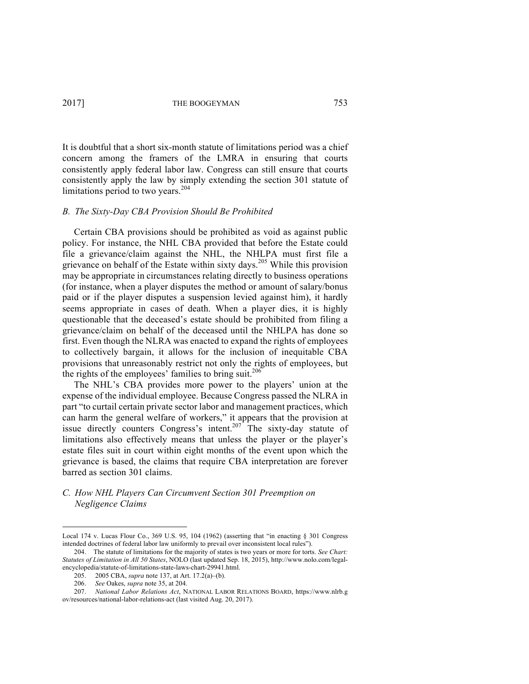It is doubtful that a short six-month statute of limitations period was a chief concern among the framers of the LMRA in ensuring that courts consistently apply federal labor law. Congress can still ensure that courts consistently apply the law by simply extending the section 301 statute of limitations period to two years. $204$ 

### *B. The Sixty-Day CBA Provision Should Be Prohibited*

Certain CBA provisions should be prohibited as void as against public policy. For instance, the NHL CBA provided that before the Estate could file a grievance/claim against the NHL, the NHLPA must first file a grievance on behalf of the Estate within sixty days.<sup>205</sup> While this provision may be appropriate in circumstances relating directly to business operations (for instance, when a player disputes the method or amount of salary/bonus paid or if the player disputes a suspension levied against him), it hardly seems appropriate in cases of death. When a player dies, it is highly questionable that the deceased's estate should be prohibited from filing a grievance/claim on behalf of the deceased until the NHLPA has done so first. Even though the NLRA was enacted to expand the rights of employees to collectively bargain, it allows for the inclusion of inequitable CBA provisions that unreasonably restrict not only the rights of employees, but the rights of the employees' families to bring suit.<sup>206</sup>

The NHL's CBA provides more power to the players' union at the expense of the individual employee. Because Congress passed the NLRA in part "to curtail certain private sector labor and management practices, which can harm the general welfare of workers," it appears that the provision at issue directly counters Congress's intent.<sup>207</sup> The sixty-day statute of limitations also effectively means that unless the player or the player's estate files suit in court within eight months of the event upon which the grievance is based, the claims that require CBA interpretation are forever barred as section 301 claims.

# *C. How NHL Players Can Circumvent Section 301 Preemption on Negligence Claims*

Local 174 v. Lucas Flour Co., 369 U.S. 95, 104 (1962) (asserting that "in enacting  $\S$  301 Congress intended doctrines of federal labor law uniformly to prevail over inconsistent local rules").

<sup>204.</sup> The statute of limitations for the majority of states is two years or more for torts. *See Chart: Statutes of Limitation in All 50 States*, NOLO (last updated Sep. 18, 2015), http://www.nolo.com/legalencyclopedia/statute-of-limitations-state-laws-chart-29941.html.

<sup>205.</sup> 2005 CBA, *supra* note 137, at Art. 17.2(a)–(b).

<sup>206.</sup> *See* Oakes, *supra* note 35, at 204.

<sup>207.</sup> *National Labor Relations Act*, NATIONAL LABOR RELATIONS BOARD, https://www.nlrb.g ov/resources/national-labor-relations-act (last visited Aug. 20, 2017).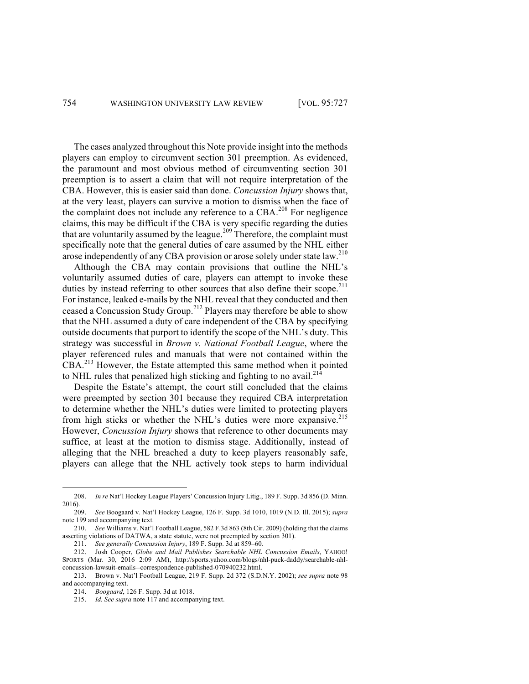The cases analyzed throughout this Note provide insight into the methods players can employ to circumvent section 301 preemption. As evidenced, the paramount and most obvious method of circumventing section 301 preemption is to assert a claim that will not require interpretation of the CBA. However, this is easier said than done. *Concussion Injury* shows that, at the very least, players can survive a motion to dismiss when the face of the complaint does not include any reference to a CBA.<sup>208</sup> For negligence claims, this may be difficult if the CBA is very specific regarding the duties that are voluntarily assumed by the league.<sup>209</sup> Therefore, the complaint must specifically note that the general duties of care assumed by the NHL either arose independently of any CBA provision or arose solely under state law.<sup>210</sup>

Although the CBA may contain provisions that outline the NHL's voluntarily assumed duties of care, players can attempt to invoke these duties by instead referring to other sources that also define their scope.<sup>211</sup> For instance, leaked e-mails by the NHL reveal that they conducted and then ceased a Concussion Study Group.<sup>212</sup> Players may therefore be able to show that the NHL assumed a duty of care independent of the CBA by specifying outside documents that purport to identify the scope of the NHL's duty. This strategy was successful in *Brown v. National Football League*, where the player referenced rules and manuals that were not contained within the CBA.<sup>213</sup> However, the Estate attempted this same method when it pointed to NHL rules that penalized high sticking and fighting to no avail. $^{214}$ 

Despite the Estate's attempt, the court still concluded that the claims were preempted by section 301 because they required CBA interpretation to determine whether the NHL's duties were limited to protecting players from high sticks or whether the NHL's duties were more expansive.<sup>215</sup> However, *Concussion Injury* shows that reference to other documents may suffice, at least at the motion to dismiss stage. Additionally, instead of alleging that the NHL breached a duty to keep players reasonably safe, players can allege that the NHL actively took steps to harm individual

<sup>208.</sup> *In re* Nat'l Hockey League Players' Concussion Injury Litig., 189 F. Supp. 3d 856 (D. Minn. 2016).

<sup>209.</sup> *See* Boogaard v. Nat'l Hockey League, 126 F. Supp. 3d 1010, 1019 (N.D. Ill. 2015); *supra*  note 199 and accompanying text.

<sup>210.</sup> *See* Williams v. Nat'l Football League, 582 F.3d 863 (8th Cir. 2009) (holding that the claims asserting violations of DATWA, a state statute, were not preempted by section 301).

<sup>211.</sup> *See generally Concussion Injury*, 189 F. Supp. 3d at 859–60.

<sup>212.</sup> Josh Cooper, *Globe and Mail Publishes Searchable NHL Concussion Emails*, YAHOO! SPORTS (Mar. 30, 2016 2:09 AM), http://sports.yahoo.com/blogs/nhl-puck-daddy/searchable-nhlconcussion-lawsuit-emails--correspondence-published-070940232.html.

<sup>213.</sup> Brown v. Nat'l Football League, 219 F. Supp. 2d 372 (S.D.N.Y. 2002); *see supra* note 98 and accompanying text.

<sup>214.</sup> *Boogaard*, 126 F. Supp. 3d at 1018.

<sup>215.</sup> *Id. See supra* note 117 and accompanying text.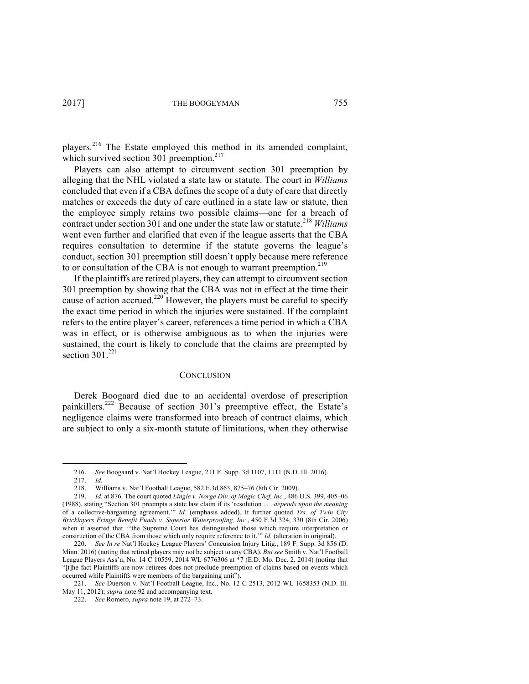players.<sup>216</sup> The Estate employed this method in its amended complaint, which survived section 301 preemption. $217$ 

Players can also attempt to circumvent section 301 preemption by alleging that the NHL violated a state law or statute. The court in *Williams* concluded that even if a CBA defines the scope of a duty of care that directly matches or exceeds the duty of care outlined in a state law or statute, then the employee simply retains two possible claims—one for a breach of contract under section 301 and one under the state law or statute.218 *Williams*  went even further and clarified that even if the league asserts that the CBA requires consultation to determine if the statute governs the league's conduct, section 301 preemption still doesn't apply because mere reference to or consultation of the CBA is not enough to warrant preemption.<sup>219</sup>

If the plaintiffs are retired players, they can attempt to circumvent section 301 preemption by showing that the CBA was not in effect at the time their cause of action accrued.<sup>220</sup> However, the players must be careful to specify the exact time period in which the injuries were sustained. If the complaint refers to the entire player's career, references a time period in which a CBA was in effect, or is otherwise ambiguous as to when the injuries were sustained, the court is likely to conclude that the claims are preempted by section  $301.<sup>221</sup>$ 

#### **CONCLUSION**

Derek Boogaard died due to an accidental overdose of prescription painkillers.<sup>222</sup> Because of section 301's preemptive effect, the Estate's negligence claims were transformed into breach of contract claims, which are subject to only a six-month statute of limitations, when they otherwise

<sup>216.</sup> *See* Boogaard v. Nat'l Hockey League, 211 F. Supp. 3d 1107, 1111 (N.D. Ill. 2016).

<sup>217.</sup> *Id.*

<sup>218.</sup> Williams v. Nat'l Football League, 582 F.3d 863, 875–76 (8th Cir. 2009).

<sup>219.</sup> *Id.* at 876. The court quoted *Lingle v. Norge Div. of Magic Chef, Inc.*, 486 U.S. 399, 405–06 (1988), stating "Section 301 preempts a state law claim if its 'resolution . . . *depends upon the meaning* of a collective-bargaining agreement.'" *Id.* (emphasis added). It further quoted *Trs. of Twin City Bricklayers Fringe Benefit Funds v. Superior Waterproofing, Inc.*, 450 F.3d 324, 330 (8th Cir. 2006) when it asserted that '"the Supreme Court has distinguished those which require interpretation or construction of the CBA from those which only require reference to it.'" *Id.* (alteration in original).

<sup>220.</sup> *See In re* Nat'l Hockey League Players' Concussion Injury Litig., 189 F. Supp. 3d 856 (D. Minn. 2016) (noting that retired players may not be subject to any CBA). *But see* Smith v. Nat'l Football League Players Ass'n, No. 14 C 10559, 2014 WL 6776306 at \*7 (E.D. Mo. Dec. 2, 2014) (noting that "[t]he fact Plaintiffs are now retirees does not preclude preemption of claims based on events which occurred while Plaintiffs were members of the bargaining unit").

<sup>221.</sup> *See* Duerson v. Nat'l Football League, Inc., No. 12 C 2513, 2012 WL 1658353 (N.D. Ill. May 11, 2012); *supra* note 92 and accompanying text.

<sup>222.</sup> *See* Romero, *supra* note 19, at 272–73.